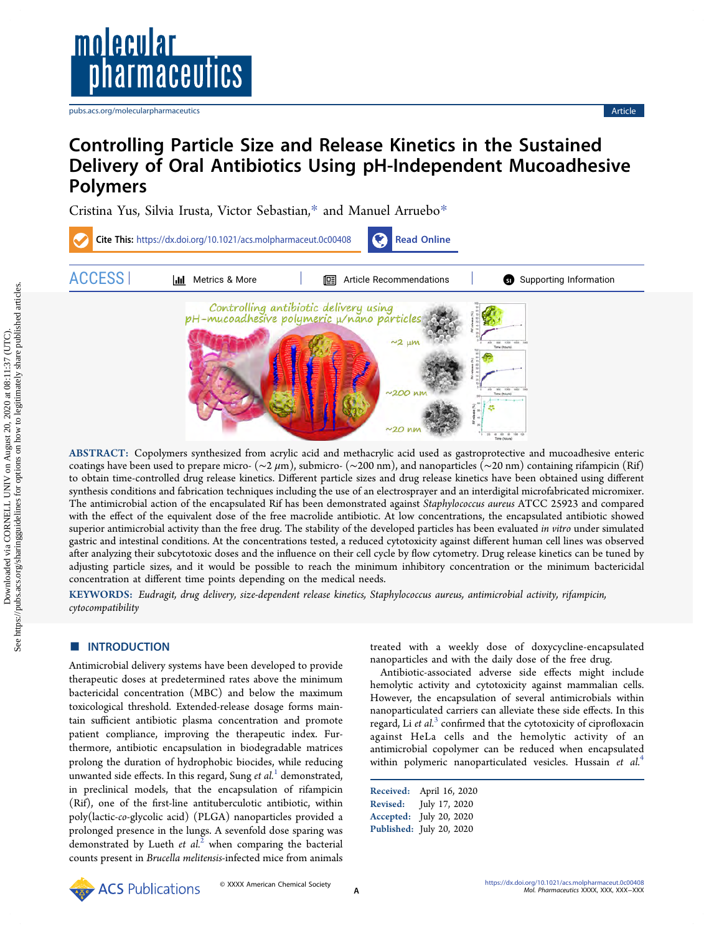

[pubs.acs.org/molecularpharmaceutics](pubs.acs.org/molecularpharmaceutics?ref=pdf) **Article Article Article Article Article Article Article Article Article Article Article Article Article Article Article Article Article Article Artic** 

# Controlling Particle Size and Release Kinetics in the Sustained Delivery of Oral Antibiotics Using pH-Independent Mucoadhesive Polymers

[Cristina Yus,](https://pubs.acs.org/action/doSearch?field1=Contrib&text1="Cristina+Yus"&field2=AllField&text2=&publication=&accessType=allContent&Earliest=&ref=pdf) [Silvia Irusta,](https://pubs.acs.org/action/doSearch?field1=Contrib&text1="Silvia+Irusta"&field2=AllField&text2=&publication=&accessType=allContent&Earliest=&ref=pdf) [Victor Sebastian,](https://pubs.acs.org/action/doSearch?field1=Contrib&text1="Victor+Sebastian"&field2=AllField&text2=&publication=&accessType=allContent&Earliest=&ref=pdf)[\\*](#page-11-0) [and Manuel Arruebo](https://pubs.acs.org/action/doSearch?field1=Contrib&text1="Manuel+Arruebo"&field2=AllField&text2=&publication=&accessType=allContent&Earliest=&ref=pdf)[\\*](#page-11-0)



ABSTRACT: Copolymers synthesized from acrylic acid and methacrylic acid used as gastroprotective and mucoadhesive enteric coatings have been used to prepare micro- ( $\sim$ 2 $\mu$ m), submicro- ( $\sim$ 200 nm), and nanoparticles ( $\sim$ 20 nm) containing rifampicin (Rif) to obtain time-controlled drug release kinetics. Different particle sizes and drug release kinetics have been obtained using different synthesis conditions and fabrication techniques including the use of an electrosprayer and an interdigital microfabricated micromixer. The antimicrobial action of the encapsulated Rif has been demonstrated against Staphylococcus aureus ATCC 25923 and compared with the effect of the equivalent dose of the free macrolide antibiotic. At low concentrations, the encapsulated antibiotic showed superior antimicrobial activity than the free drug. The stability of the developed particles has been evaluated in vitro under simulated gastric and intestinal conditions. At the concentrations tested, a reduced cytotoxicity against different human cell lines was observed after analyzing their subcytotoxic doses and the influence on their cell cycle by flow cytometry. Drug release kinetics can be tuned by adjusting particle sizes, and it would be possible to reach the minimum inhibitory concentration or the minimum bactericidal concentration at different time points depending on the medical needs.

KEYWORDS: Eudragit, drug delivery, size-dependent release kinetics, Staphylococcus aureus, antimicrobial activity, rifampicin, cytocompatibility

# **ENTRODUCTION**

Antimicrobial delivery systems have been developed to provide therapeutic doses at predetermined rates above the minimum bactericidal concentration (MBC) and below the maximum toxicological threshold. Extended-release dosage forms maintain sufficient antibiotic plasma concentration and promote patient compliance, improving the therapeutic index. Furthermore, antibiotic encapsulation in biodegradable matrices prolong the duration of hydrophobic biocides, while reducing unwanted side effects. In this regard, Sung et  $al<sup>1</sup>$  $al<sup>1</sup>$  $al<sup>1</sup>$  demonstrated, in preclinical models, that the encapsulation of rifampicin (Rif), one of the first-line antituberculotic antibiotic, within poly(lactic-co-glycolic acid) (PLGA) nanoparticles provided a prolonged presence in the lungs. A sevenfold dose sparing was demonstrated by Lueth et  $al<sup>2</sup>$  $al<sup>2</sup>$  $al<sup>2</sup>$  when comparing the bacterial counts present in Brucella melitensis-infected mice from animals

treated with a weekly dose of doxycycline-encapsulated nanoparticles and with the daily dose of the free drug.

Antibiotic-associated adverse side effects might include hemolytic activity and cytotoxicity against mammalian cells. However, the encapsulation of several antimicrobials within nanoparticulated carriers can alleviate these side effects. In this regard, Li et  $al^3$  $al^3$  confirmed that the cytotoxicity of ciprofloxacin against HeLa cells and the hemolytic activity of an antimicrobial copolymer can be reduced when encapsulated within polymeric nanoparticulated vesicles. Hussain et al.<sup>[4](#page-11-0)</sup>

| Received:       | April 16, 2020           |
|-----------------|--------------------------|
| <b>Revised:</b> | July 17, 2020            |
| Accepted:       | July 20, 2020            |
|                 | Published: July 20, 2020 |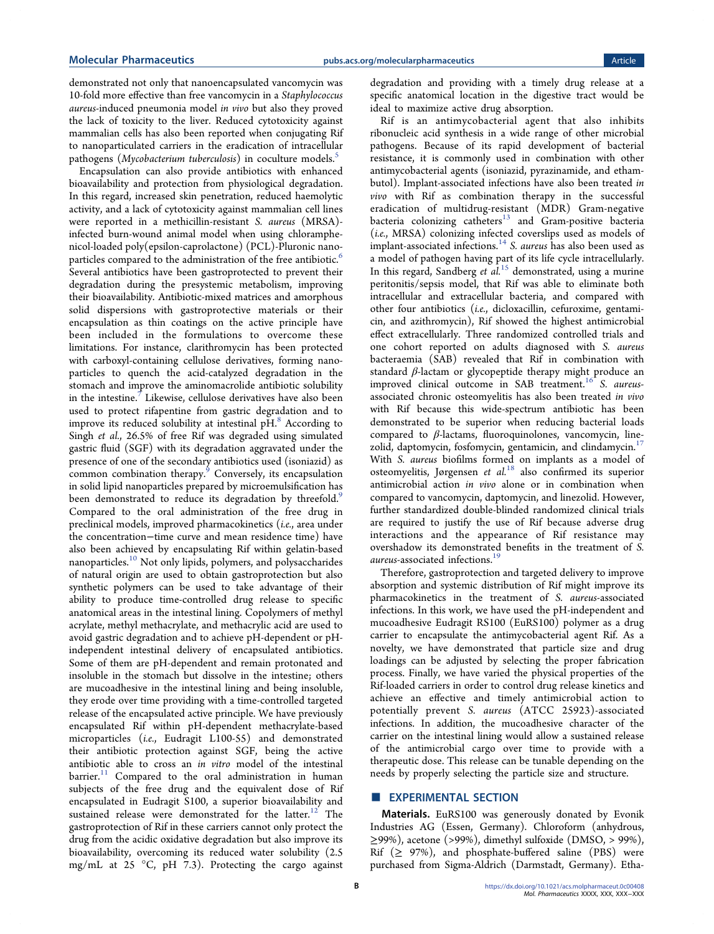demonstrated not only that nanoencapsulated vancomycin was 10-fold more effective than free vancomycin in a Staphylococcus aureus-induced pneumonia model in vivo but also they proved the lack of toxicity to the liver. Reduced cytotoxicity against mammalian cells has also been reported when conjugating Rif to nanoparticulated carriers in the eradication of intracellular pathogens (Mycobacterium tuberculosis) in coculture models.<sup>5</sup>

Encapsulation can also provide antibiotics with enhanced bioavailability and protection from physiological degradation. In this regard, increased skin penetration, reduced haemolytic activity, and a lack of cytotoxicity against mammalian cell lines were reported in a methicillin-resistant S. aureus (MRSA) infected burn-wound animal model when using chloramphenicol-loaded poly(epsilon-caprolactone) (PCL)-Pluronic nano-particles compared to the administration of the free antibiotic.<sup>[6](#page-11-0)</sup> Several antibiotics have been gastroprotected to prevent their degradation during the presystemic metabolism, improving their bioavailability. Antibiotic-mixed matrices and amorphous solid dispersions with gastroprotective materials or their encapsulation as thin coatings on the active principle have been included in the formulations to overcome these limitations. For instance, clarithromycin has been protected with carboxyl-containing cellulose derivatives, forming nanoparticles to quench the acid-catalyzed degradation in the stomach and improve the aminomacrolide antibiotic solubility in the intestine.<sup>[7](#page-11-0)</sup> Likewise, cellulose derivatives have also been used to protect rifapentine from gastric degradation and to improve its reduced solubility at intestinal  $pH$ .<sup>[8](#page-11-0)</sup> According to Singh et al., 26.5% of free Rif was degraded using simulated gastric fluid (SGF) with its degradation aggravated under the presence of one of the secondary antibiotics used (isoniazid) as common combination therapy. $9$  Conversely, its encapsulation in solid lipid nanoparticles prepared by microemulsification has been demonstrated to reduce its degradation by threefold.<sup>[9](#page-11-0)</sup> Compared to the oral administration of the free drug in preclinical models, improved pharmacokinetics (i.e., area under the concentration−time curve and mean residence time) have also been achieved by encapsulating Rif within gelatin-based nanoparticles.[10](#page-11-0) Not only lipids, polymers, and polysaccharides of natural origin are used to obtain gastroprotection but also synthetic polymers can be used to take advantage of their ability to produce time-controlled drug release to specific anatomical areas in the intestinal lining. Copolymers of methyl acrylate, methyl methacrylate, and methacrylic acid are used to avoid gastric degradation and to achieve pH-dependent or pHindependent intestinal delivery of encapsulated antibiotics. Some of them are pH-dependent and remain protonated and insoluble in the stomach but dissolve in the intestine; others are mucoadhesive in the intestinal lining and being insoluble, they erode over time providing with a time-controlled targeted release of the encapsulated active principle. We have previously encapsulated Rif within pH-dependent methacrylate-based microparticles (i.e., Eudragit L100-55) and demonstrated their antibiotic protection against SGF, being the active antibiotic able to cross an in vitro model of the intestinal barrier. $11$  Compared to the oral administration in human subjects of the free drug and the equivalent dose of Rif encapsulated in Eudragit S100, a superior bioavailability and sustained release were demonstrated for the latter.<sup>[12](#page-11-0)</sup> The gastroprotection of Rif in these carriers cannot only protect the drug from the acidic oxidative degradation but also improve its bioavailability, overcoming its reduced water solubility (2.5 mg/mL at 25 °C, pH 7.3). Protecting the cargo against

degradation and providing with a timely drug release at a specific anatomical location in the digestive tract would be ideal to maximize active drug absorption.

Rif is an antimycobacterial agent that also inhibits ribonucleic acid synthesis in a wide range of other microbial pathogens. Because of its rapid development of bacterial resistance, it is commonly used in combination with other antimycobacterial agents (isoniazid, pyrazinamide, and ethambutol). Implant-associated infections have also been treated in vivo with Rif as combination therapy in the successful eradication of multidrug-resistant (MDR) Gram-negative bacteria colonizing catheters<sup>[13](#page-11-0)</sup> and Gram-positive bacteria (i.e., MRSA) colonizing infected coverslips used as models of implant-associated infections.<sup>[14](#page-11-0)</sup> S. *aureus* has also been used as a model of pathogen having part of its life cycle intracellularly. In this regard, Sandberg et  $\ddot{a}$ <sup>1.5</sup> demonstrated, using a murine peritonitis/sepsis model, that Rif was able to eliminate both intracellular and extracellular bacteria, and compared with other four antibiotics (i.e., dicloxacillin, cefuroxime, gentamicin, and azithromycin), Rif showed the highest antimicrobial effect extracellularly. Three randomized controlled trials and one cohort reported on adults diagnosed with S. aureus bacteraemia (SAB) revealed that Rif in combination with standard  $\beta$ -lactam or glycopeptide therapy might produce an improved clinical outcome in SAB treatment.<sup>[16](#page-11-0)</sup> S. aureusassociated chronic osteomyelitis has also been treated in vivo with Rif because this wide-spectrum antibiotic has been demonstrated to be superior when reducing bacterial loads compared to  $\beta$ -lactams, fluoroquinolones, vancomycin, linezolid, daptomycin, fosfomycin, gentamicin, and clindamycin.<sup>17</sup> With S. aureus biofilms formed on implants as a model of osteomyelitis, Jørgensen et  $al$ <sup>[18](#page-12-0)</sup> also confirmed its superior antimicrobial action in vivo alone or in combination when compared to vancomycin, daptomycin, and linezolid. However, further standardized double-blinded randomized clinical trials are required to justify the use of Rif because adverse drug interactions and the appearance of Rif resistance may overshadow its demonstrated benefits in the treatment of S. aureus-associated infections.<sup>[19](#page-12-0)</sup>

Therefore, gastroprotection and targeted delivery to improve absorption and systemic distribution of Rif might improve its pharmacokinetics in the treatment of S. aureus-associated infections. In this work, we have used the pH-independent and mucoadhesive Eudragit RS100 (EuRS100) polymer as a drug carrier to encapsulate the antimycobacterial agent Rif. As a novelty, we have demonstrated that particle size and drug loadings can be adjusted by selecting the proper fabrication process. Finally, we have varied the physical properties of the Rif-loaded carriers in order to control drug release kinetics and achieve an effective and timely antimicrobial action to potentially prevent S. aureus (ATCC 25923)-associated infections. In addition, the mucoadhesive character of the carrier on the intestinal lining would allow a sustained release of the antimicrobial cargo over time to provide with a therapeutic dose. This release can be tunable depending on the needs by properly selecting the particle size and structure.

# **EXPERIMENTAL SECTION**

Materials. EuRS100 was generously donated by Evonik Industries AG (Essen, Germany). Chloroform (anhydrous, ≥99%), acetone (>99%), dimethyl sulfoxide (DMSO, > 99%), Rif  $(≥ 97%)$ , and phosphate-buffered saline (PBS) were purchased from Sigma-Aldrich (Darmstadt, Germany). Etha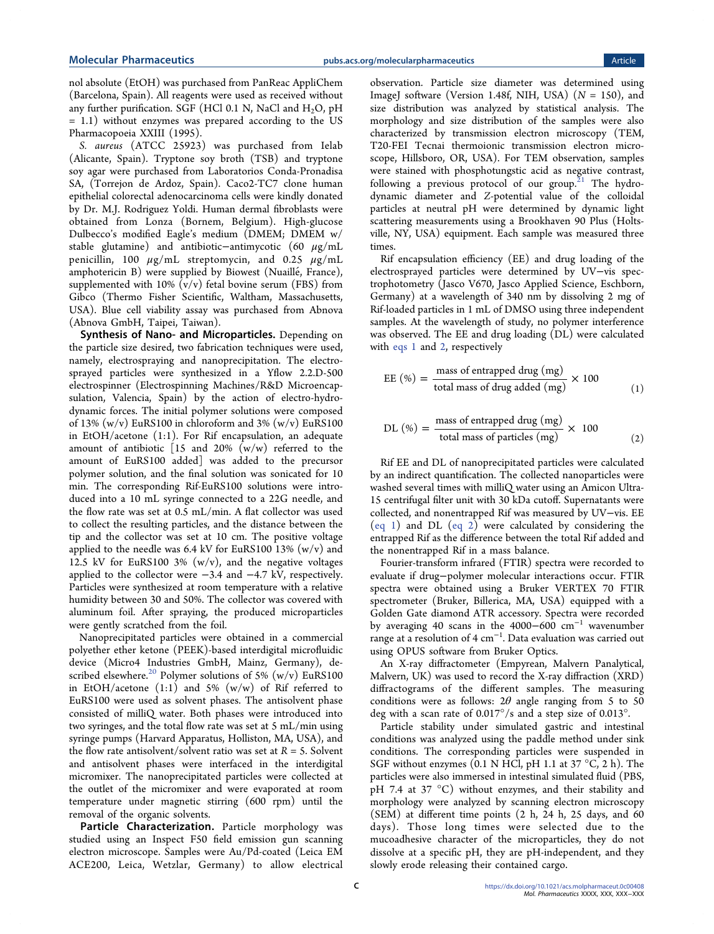nol absolute (EtOH) was purchased from PanReac AppliChem (Barcelona, Spain). All reagents were used as received without any further purification. SGF (HCl 0.1 N, NaCl and  $H_2O$ , pH = 1.1) without enzymes was prepared according to the US Pharmacopoeia XXIII (1995).

S. aureus (ATCC 25923) was purchased from Ielab (Alicante, Spain). Tryptone soy broth (TSB) and tryptone soy agar were purchased from Laboratorios Conda-Pronadisa SA, (Torrejon de Ardoz, Spain). Caco2-TC7 clone human epithelial colorectal adenocarcinoma cells were kindly donated by Dr. M.J. Rodriguez Yoldi. Human dermal fibroblasts were obtained from Lonza (Bornem, Belgium). High-glucose Dulbecco's modified Eagle's medium (DMEM; DMEM w/ stable glutamine) and antibiotic−antimycotic (60 μg/mL penicillin, 100  $\mu$ g/mL streptomycin, and 0.25  $\mu$ g/mL amphotericin B) were supplied by Biowest (Nuaillé, France), supplemented with 10%  $(v/v)$  fetal bovine serum (FBS) from Gibco (Thermo Fisher Scientific, Waltham, Massachusetts, USA). Blue cell viability assay was purchased from Abnova (Abnova GmbH, Taipei, Taiwan).

Synthesis of Nano- and Microparticles. Depending on the particle size desired, two fabrication techniques were used, namely, electrospraying and nanoprecipitation. The electrosprayed particles were synthesized in a Yflow 2.2.D-500 electrospinner (Electrospinning Machines/R&D Microencapsulation, Valencia, Spain) by the action of electro-hydrodynamic forces. The initial polymer solutions were composed of 13%  $(w/v)$  EuRS100 in chloroform and 3%  $(w/v)$  EuRS100 in EtOH/acetone (1:1). For Rif encapsulation, an adequate amount of antibiotic [15 and 20%  $(w/w)$  referred to the amount of EuRS100 added] was added to the precursor polymer solution, and the final solution was sonicated for 10 min. The corresponding Rif-EuRS100 solutions were introduced into a 10 mL syringe connected to a 22G needle, and the flow rate was set at 0.5 mL/min. A flat collector was used to collect the resulting particles, and the distance between the tip and the collector was set at 10 cm. The positive voltage applied to the needle was 6.4 kV for EuRS100 13%  $(w/v)$  and 12.5 kV for EuRS100 3%  $(w/v)$ , and the negative voltages applied to the collector were −3.4 and −4.7 kV, respectively. Particles were synthesized at room temperature with a relative humidity between 30 and 50%. The collector was covered with aluminum foil. After spraying, the produced microparticles were gently scratched from the foil.

Nanoprecipitated particles were obtained in a commercial polyether ether ketone (PEEK)-based interdigital microfluidic device (Micro4 Industries GmbH, Mainz, Germany), de-scribed elsewhere.<sup>[20](#page-12-0)</sup> Polymer solutions of 5% (w/v) EuRS100 in EtOH/acetone  $(1:1)$  and 5%  $(w/w)$  of Rif referred to EuRS100 were used as solvent phases. The antisolvent phase consisted of milliQ water. Both phases were introduced into two syringes, and the total flow rate was set at 5 mL/min using syringe pumps (Harvard Apparatus, Holliston, MA, USA), and the flow rate antisolvent/solvent ratio was set at  $R = 5$ . Solvent and antisolvent phases were interfaced in the interdigital micromixer. The nanoprecipitated particles were collected at the outlet of the micromixer and were evaporated at room temperature under magnetic stirring (600 rpm) until the removal of the organic solvents.

Particle Characterization. Particle morphology was studied using an Inspect F50 field emission gun scanning electron microscope. Samples were Au/Pd-coated (Leica EM ACE200, Leica, Wetzlar, Germany) to allow electrical

observation. Particle size diameter was determined using ImageJ software (Version 1.48f, NIH, USA) ( $N = 150$ ), and size distribution was analyzed by statistical analysis. The morphology and size distribution of the samples were also characterized by transmission electron microscopy (TEM, T20-FEI Tecnai thermoionic transmission electron microscope, Hillsboro, OR, USA). For TEM observation, samples were stained with phosphotungstic acid as negative contrast, following a previous protocol of our group.<sup>[21](#page-12-0)</sup> The hydrodynamic diameter and Z-potential value of the colloidal particles at neutral pH were determined by dynamic light scattering measurements using a Brookhaven 90 Plus (Holtsville, NY, USA) equipment. Each sample was measured three times.

Rif encapsulation efficiency (EE) and drug loading of the electrosprayed particles were determined by UV−vis spectrophotometry (Jasco V670, Jasco Applied Science, Eschborn, Germany) at a wavelength of 340 nm by dissolving 2 mg of Rif-loaded particles in 1 mL of DMSO using three independent samples. At the wavelength of study, no polymer interference was observed. The EE and drug loading (DL) were calculated with eqs 1 and 2, respectively

$$
EE (\%) = \frac{\text{mass of entrapped drug (mg)}}{\text{total mass of drug added (mg)}} \times 100
$$
 (1)

DL (%) = 
$$
\frac{\text{mass of entrapped drug (mg)}}{\text{total mass of particles (mg)}} \times 100
$$
 (2)

Rif EE and DL of nanoprecipitated particles were calculated by an indirect quantification. The collected nanoparticles were washed several times with milliQ water using an Amicon Ultra-15 centrifugal filter unit with 30 kDa cutoff. Supernatants were collected, and nonentrapped Rif was measured by UV−vis. EE (eq 1) and DL (eq 2) were calculated by considering the entrapped Rif as the difference between the total Rif added and the nonentrapped Rif in a mass balance.

Fourier-transform infrared (FTIR) spectra were recorded to evaluate if drug−polymer molecular interactions occur. FTIR spectra were obtained using a Bruker VERTEX 70 FTIR spectrometer (Bruker, Billerica, MA, USA) equipped with a Golden Gate diamond ATR accessory. Spectra were recorded by averaging 40 scans in the 4000–600  $cm^{-1}$  wavenumber range at a resolution of 4 cm<sup>−</sup><sup>1</sup> . Data evaluation was carried out using OPUS software from Bruker Optics.

An X-ray diffractometer (Empyrean, Malvern Panalytical, Malvern, UK) was used to record the X-ray diffraction (XRD) diffractograms of the different samples. The measuring conditions were as follows:  $2\theta$  angle ranging from 5 to 50 deg with a scan rate of 0.017°/s and a step size of 0.013°.

Particle stability under simulated gastric and intestinal conditions was analyzed using the paddle method under sink conditions. The corresponding particles were suspended in SGF without enzymes  $(0.1 \text{ N } HCl, pH 1.1$  at 37 °C, 2 h). The particles were also immersed in intestinal simulated fluid (PBS, pH 7.4 at 37 °C) without enzymes, and their stability and morphology were analyzed by scanning electron microscopy (SEM) at different time points (2 h, 24 h, 25 days, and 60 days). Those long times were selected due to the mucoadhesive character of the microparticles, they do not dissolve at a specific pH, they are pH-independent, and they slowly erode releasing their contained cargo.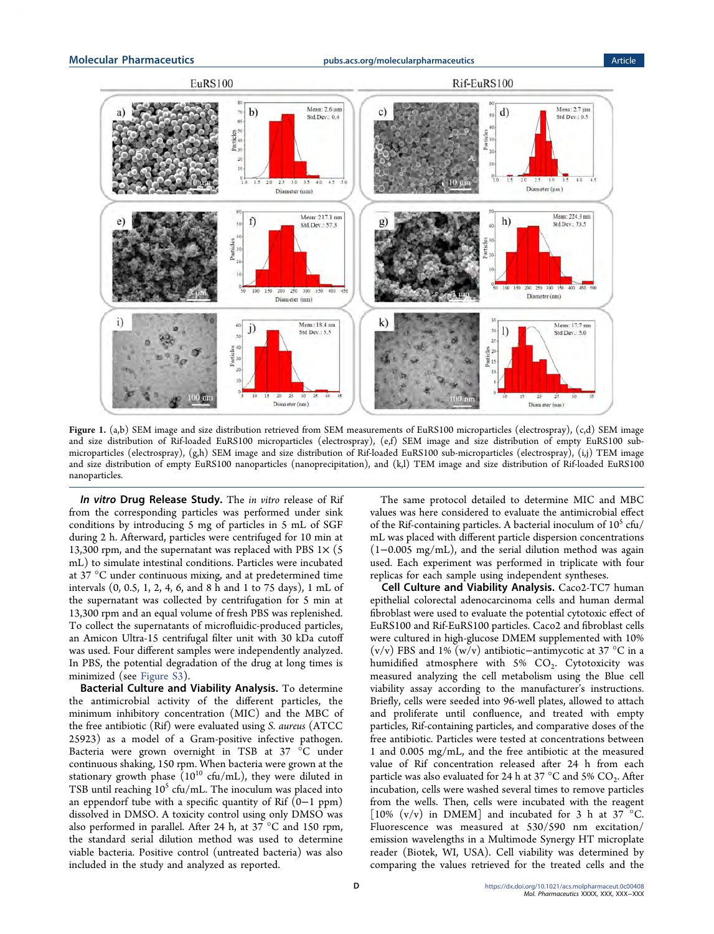<span id="page-3-0"></span>

Figure 1. (a,b) SEM image and size distribution retrieved from SEM measurements of EuRS100 microparticles (electrospray), (c,d) SEM image and size distribution of Rif-loaded EuRS100 microparticles (electrospray), (e,f) SEM image and size distribution of empty EuRS100 submicroparticles (electrospray), (g,h) SEM image and size distribution of Rif-loaded EuRS100 sub-microparticles (electrospray), (i,j) TEM image and size distribution of empty EuRS100 nanoparticles (nanoprecipitation), and (k,l) TEM image and size distribution of Rif-loaded EuRS100 nanoparticles.

In vitro Drug Release Study. The in vitro release of Rif from the corresponding particles was performed under sink conditions by introducing 5 mg of particles in 5 mL of SGF during 2 h. Afterward, particles were centrifuged for 10 min at 13,300 rpm, and the supernatant was replaced with PBS  $1\times$  (5) mL) to simulate intestinal conditions. Particles were incubated at 37 °C under continuous mixing, and at predetermined time intervals (0, 0.5, 1, 2, 4, 6, and 8 h and 1 to 75 days), 1 mL of the supernatant was collected by centrifugation for 5 min at 13,300 rpm and an equal volume of fresh PBS was replenished. To collect the supernatants of microfluidic-produced particles, an Amicon Ultra-15 centrifugal filter unit with 30 kDa cutoff was used. Four different samples were independently analyzed. In PBS, the potential degradation of the drug at long times is minimized (see [Figure S3\)](http://pubs.acs.org/doi/suppl/10.1021/acs.molpharmaceut.0c00408/suppl_file/mp0c00408_si_001.pdf).

Bacterial Culture and Viability Analysis. To determine the antimicrobial activity of the different particles, the minimum inhibitory concentration (MIC) and the MBC of the free antibiotic (Rif) were evaluated using S. aureus (ATCC 25923) as a model of a Gram-positive infective pathogen. Bacteria were grown overnight in TSB at 37 °C under continuous shaking, 150 rpm. When bacteria were grown at the stationary growth phase  $(10^{10}$  cfu/mL), they were diluted in TSB until reaching  $10^5$  cfu/mL. The inoculum was placed into an eppendorf tube with a specific quantity of Rif  $(0-1$  ppm) dissolved in DMSO. A toxicity control using only DMSO was also performed in parallel. After 24 h, at 37 °C and 150 rpm, the standard serial dilution method was used to determine viable bacteria. Positive control (untreated bacteria) was also included in the study and analyzed as reported.

The same protocol detailed to determine MIC and MBC values was here considered to evaluate the antimicrobial effect of the Rif-containing particles. A bacterial inoculum of  $10^5$  cfu/ mL was placed with different particle dispersion concentrations (1−0.005 mg/mL), and the serial dilution method was again used. Each experiment was performed in triplicate with four replicas for each sample using independent syntheses.

Cell Culture and Viability Analysis. Caco2-TC7 human epithelial colorectal adenocarcinoma cells and human dermal fibroblast were used to evaluate the potential cytotoxic effect of EuRS100 and Rif-EuRS100 particles. Caco2 and fibroblast cells were cultured in high-glucose DMEM supplemented with 10% (v/v) FBS and 1% (w/v) antibiotic−antimycotic at 37 °C in a humidified atmosphere with  $5\%$  CO<sub>2</sub>. Cytotoxicity was measured analyzing the cell metabolism using the Blue cell viability assay according to the manufacturer's instructions. Briefly, cells were seeded into 96-well plates, allowed to attach and proliferate until confluence, and treated with empty particles, Rif-containing particles, and comparative doses of the free antibiotic. Particles were tested at concentrations between 1 and 0.005 mg/mL, and the free antibiotic at the measured value of Rif concentration released after 24 h from each particle was also evaluated for 24 h at 37 °C and 5%  $CO_2$ . After incubation, cells were washed several times to remove particles from the wells. Then, cells were incubated with the reagent [10%  $(v/v)$  in DMEM] and incubated for 3 h at 37 °C. Fluorescence was measured at 530/590 nm excitation/ emission wavelengths in a Multimode Synergy HT microplate reader (Biotek, WI, USA). Cell viability was determined by comparing the values retrieved for the treated cells and the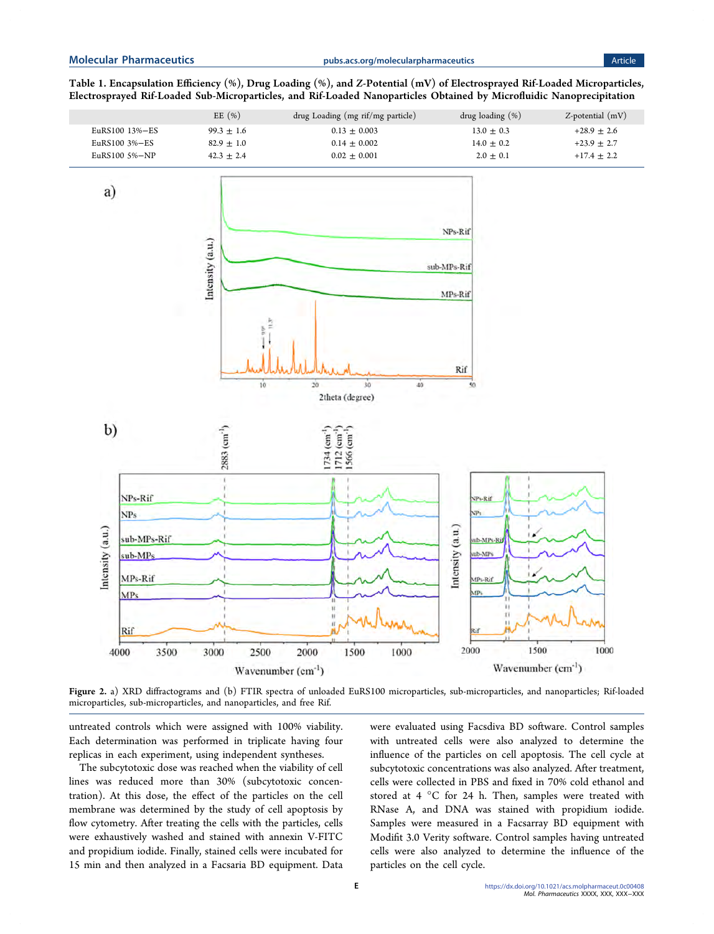<span id="page-4-0"></span>Table 1. Encapsulation Efficiency (%), Drug Loading (%), and Z-Potential (mV) of Electrosprayed Rif-Loaded Microparticles, Electrosprayed Rif-Loaded Sub-Microparticles, and Rif-Loaded Nanoparticles Obtained by Microfluidic Nanoprecipitation



Figure 2. a) XRD diffractograms and (b) FTIR spectra of unloaded EuRS100 microparticles, sub-microparticles, and nanoparticles; Rif-loaded microparticles, sub-microparticles, and nanoparticles, and free Rif.

untreated controls which were assigned with 100% viability. Each determination was performed in triplicate having four replicas in each experiment, using independent syntheses.

The subcytotoxic dose was reached when the viability of cell lines was reduced more than 30% (subcytotoxic concentration). At this dose, the effect of the particles on the cell membrane was determined by the study of cell apoptosis by flow cytometry. After treating the cells with the particles, cells were exhaustively washed and stained with annexin V-FITC and propidium iodide. Finally, stained cells were incubated for 15 min and then analyzed in a Facsaria BD equipment. Data

were evaluated using Facsdiva BD software. Control samples with untreated cells were also analyzed to determine the influence of the particles on cell apoptosis. The cell cycle at subcytotoxic concentrations was also analyzed. After treatment, cells were collected in PBS and fixed in 70% cold ethanol and stored at 4 °C for 24 h. Then, samples were treated with RNase A, and DNA was stained with propidium iodide. Samples were measured in a Facsarray BD equipment with Modifit 3.0 Verity software. Control samples having untreated cells were also analyzed to determine the influence of the particles on the cell cycle.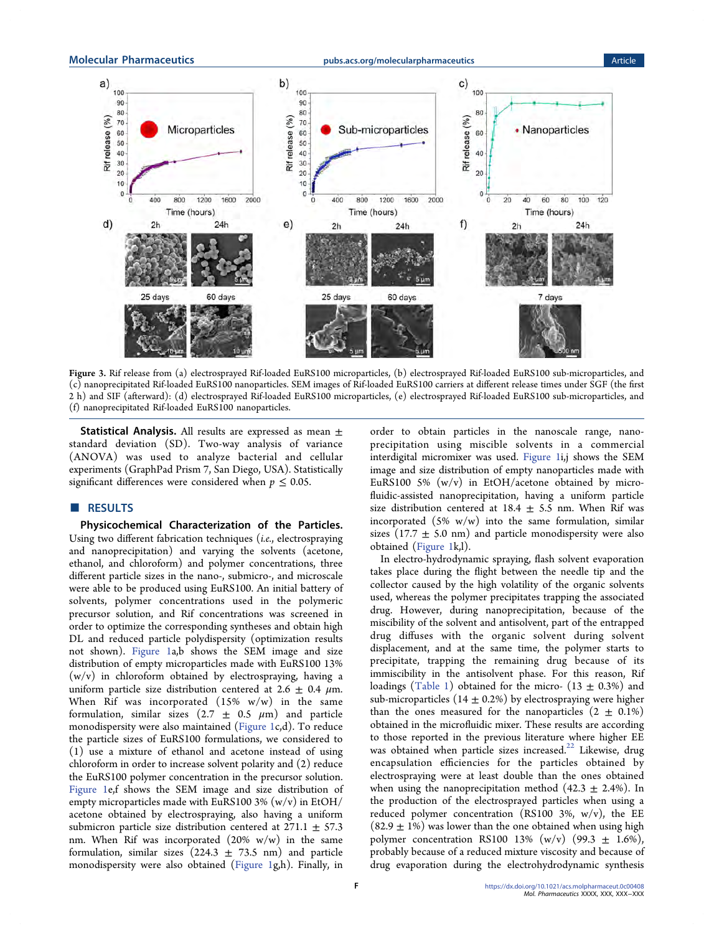<span id="page-5-0"></span>Molecular Pharmaceutics and the [pubs.acs.org/molecularpharmaceutics](pubs.acs.org/molecularpharmaceutics?ref=pdf) and the Article



Figure 3. Rif release from (a) electrosprayed Rif-loaded EuRS100 microparticles, (b) electrosprayed Rif-loaded EuRS100 sub-microparticles, and (c) nanoprecipitated Rif-loaded EuRS100 nanoparticles. SEM images of Rif-loaded EuRS100 carriers at different release times under SGF (the first 2 h) and SIF (afterward): (d) electrosprayed Rif-loaded EuRS100 microparticles, (e) electrosprayed Rif-loaded EuRS100 sub-microparticles, and (f) nanoprecipitated Rif-loaded EuRS100 nanoparticles.

**Statistical Analysis.** All results are expressed as mean  $\pm$ standard deviation (SD). Two-way analysis of variance (ANOVA) was used to analyze bacterial and cellular experiments (GraphPad Prism 7, San Diego, USA). Statistically significant differences were considered when  $p \leq 0.05$ .

# **B** RESULTS

Physicochemical Characterization of the Particles. Using two different fabrication techniques (i.e., electrospraying and nanoprecipitation) and varying the solvents (acetone, ethanol, and chloroform) and polymer concentrations, three different particle sizes in the nano-, submicro-, and microscale were able to be produced using EuRS100. An initial battery of solvents, polymer concentrations used in the polymeric precursor solution, and Rif concentrations was screened in order to optimize the corresponding syntheses and obtain high DL and reduced particle polydispersity (optimization results not shown). [Figure 1](#page-3-0)a,b shows the SEM image and size distribution of empty microparticles made with EuRS100 13% (w/v) in chloroform obtained by electrospraying, having a uniform particle size distribution centered at 2.6  $\pm$  0.4  $\mu$ m. When Rif was incorporated  $(15\% \t w/w)$  in the same formulation, similar sizes  $(2.7 \pm 0.5 \mu m)$  and particle monodispersity were also maintained [\(Figure 1](#page-3-0)c,d). To reduce the particle sizes of EuRS100 formulations, we considered to (1) use a mixture of ethanol and acetone instead of using chloroform in order to increase solvent polarity and (2) reduce the EuRS100 polymer concentration in the precursor solution. [Figure 1e](#page-3-0),f shows the SEM image and size distribution of empty microparticles made with EuRS100 3%  $(w/v)$  in EtOH/ acetone obtained by electrospraying, also having a uniform submicron particle size distribution centered at  $271.1 \pm 57.3$ nm. When Rif was incorporated  $(20\% \t w/w)$  in the same formulation, similar sizes  $(224.3 \pm 73.5 \text{ nm})$  and particle monodispersity were also obtained [\(Figure 1](#page-3-0)g,h). Finally, in

order to obtain particles in the nanoscale range, nanoprecipitation using miscible solvents in a commercial interdigital micromixer was used. [Figure 1i](#page-3-0),j shows the SEM image and size distribution of empty nanoparticles made with EuRS100 5%  $(w/v)$  in EtOH/acetone obtained by microfluidic-assisted nanoprecipitation, having a uniform particle size distribution centered at  $18.4 \pm 5.5$  nm. When Rif was incorporated  $(5\% \t w/w)$  into the same formulation, similar sizes (17.7  $\pm$  5.0 nm) and particle monodispersity were also obtained [\(Figure 1k](#page-3-0),l).

In electro-hydrodynamic spraying, flash solvent evaporation takes place during the flight between the needle tip and the collector caused by the high volatility of the organic solvents used, whereas the polymer precipitates trapping the associated drug. However, during nanoprecipitation, because of the miscibility of the solvent and antisolvent, part of the entrapped drug diffuses with the organic solvent during solvent displacement, and at the same time, the polymer starts to precipitate, trapping the remaining drug because of its immiscibility in the antisolvent phase. For this reason, Rif loadings ([Table 1\)](#page-4-0) obtained for the micro-  $(13 \pm 0.3\%)$  and sub-microparticles (14  $\pm$  0.2%) by electrospraying were higher than the ones measured for the nanoparticles  $(2 \pm 0.1\%)$ obtained in the microfluidic mixer. These results are according to those reported in the previous literature where higher EE was obtained when particle sizes increased.<sup>22</sup> Likewise, drug encapsulation efficiencies for the particles obtained by electrospraying were at least double than the ones obtained when using the nanoprecipitation method  $(42.3 \pm 2.4\%)$ . In the production of the electrosprayed particles when using a reduced polymer concentration (RS100 3%, w/v), the EE  $(82.9 \pm 1\%)$  was lower than the one obtained when using high polymer concentration RS100 13% (w/v) (99.3  $\pm$  1.6%), probably because of a reduced mixture viscosity and because of drug evaporation during the electrohydrodynamic synthesis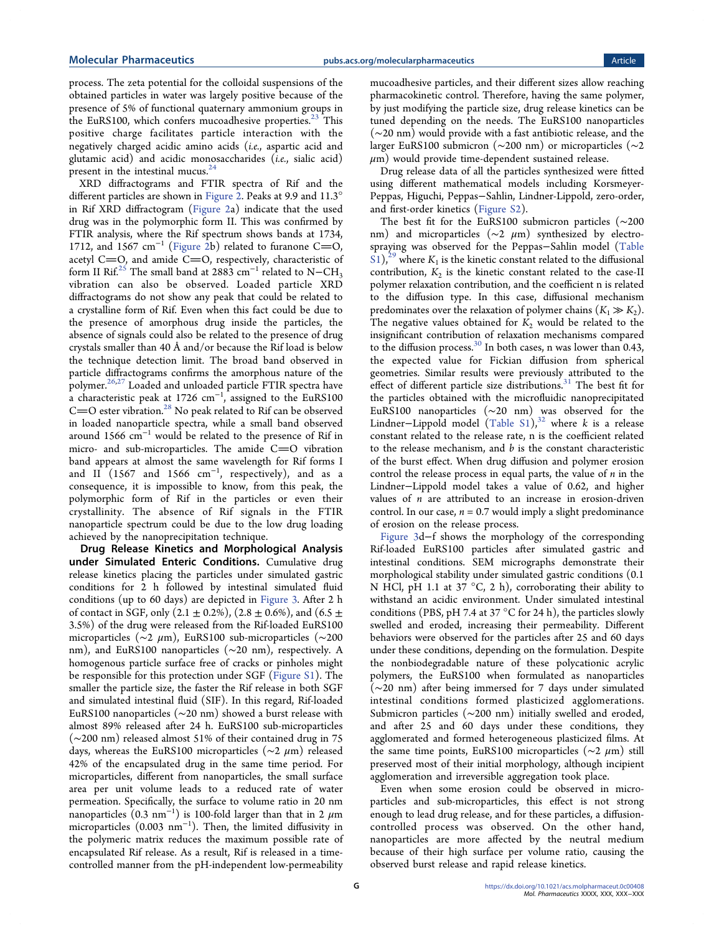process. The zeta potential for the colloidal suspensions of the obtained particles in water was largely positive because of the presence of 5% of functional quaternary ammonium groups in the EuRS100, which confers mucoadhesive properties.<sup>[23](#page-12-0)</sup> This positive charge facilitates particle interaction with the negatively charged acidic amino acids (i.e., aspartic acid and glutamic acid) and acidic monosaccharides (i.e., sialic acid) present in the intestinal mucus. $24$ 

XRD diffractograms and FTIR spectra of Rif and the different particles are shown in [Figure 2.](#page-4-0) Peaks at 9.9 and 11.3° in Rif XRD diffractogram [\(Figure 2](#page-4-0)a) indicate that the used drug was in the polymorphic form II. This was confirmed by FTIR analysis, where the Rif spectrum shows bands at 1734, 1712, and 1567 cm<sup>-1</sup> ([Figure 2](#page-4-0)b) related to furanone C=O, acetyl C=O, and amide  $C=O$ , respectively, characteristic of form II Rif.<sup>[25](#page-12-0)</sup> The small band at 2883 cm<sup>-1</sup> related to N−CH<sub>3</sub> vibration can also be observed. Loaded particle XRD diffractograms do not show any peak that could be related to a crystalline form of Rif. Even when this fact could be due to the presence of amorphous drug inside the particles, the absence of signals could also be related to the presence of drug crystals smaller than 40 Å and/or because the Rif load is below the technique detection limit. The broad band observed in particle diffractograms confirms the amorphous nature of the polymer.<sup>[26](#page-12-0),[27](#page-12-0)</sup> Loaded and unloaded particle FTIR spectra have a characteristic peak at 1726  $cm^{-1}$ , assigned to the EuRS100  $C=O$  ester vibration.<sup>28</sup> No peak related to Rif can be observed in loaded nanoparticle spectra, while a small band observed around 1566 cm<sup>−</sup><sup>1</sup> would be related to the presence of Rif in micro- and sub-microparticles. The amide  $C=O$  vibration band appears at almost the same wavelength for Rif forms I and  $\text{II}$  (1567 and 1566  $\text{cm}^{-1}$ , respectively), and as a consequence, it is impossible to know, from this peak, the polymorphic form of Rif in the particles or even their crystallinity. The absence of Rif signals in the FTIR nanoparticle spectrum could be due to the low drug loading achieved by the nanoprecipitation technique.

Drug Release Kinetics and Morphological Analysis under Simulated Enteric Conditions. Cumulative drug release kinetics placing the particles under simulated gastric conditions for 2 h followed by intestinal simulated fluid conditions (up to 60 days) are depicted in [Figure 3.](#page-5-0) After 2 h of contact in SGF, only  $(2.1 \pm 0.2\%)$ ,  $(2.8 \pm 0.6\%)$ , and  $(6.5 \pm 0.6\%)$ 3.5%) of the drug were released from the Rif-loaded EuRS100 microparticles (∼2 μm), EuRS100 sub-microparticles (∼200 nm), and EuRS100 nanoparticles (∼20 nm), respectively. A homogenous particle surface free of cracks or pinholes might be responsible for this protection under SGF [\(Figure S1](http://pubs.acs.org/doi/suppl/10.1021/acs.molpharmaceut.0c00408/suppl_file/mp0c00408_si_001.pdf)). The smaller the particle size, the faster the Rif release in both SGF and simulated intestinal fluid (SIF). In this regard, Rif-loaded EuRS100 nanoparticles (∼20 nm) showed a burst release with almost 89% released after 24 h. EuRS100 sub-microparticles (∼200 nm) released almost 51% of their contained drug in 75 days, whereas the EuRS100 microparticles (∼2 μm) released 42% of the encapsulated drug in the same time period. For microparticles, different from nanoparticles, the small surface area per unit volume leads to a reduced rate of water permeation. Specifically, the surface to volume ratio in 20 nm nanoparticles  $(0.3\;{\rm nm}^{-1})$  is 100-fold larger than that in 2  $\mu{\rm m}$ microparticles (0.003 nm<sup>−</sup><sup>1</sup> ). Then, the limited diffusivity in the polymeric matrix reduces the maximum possible rate of encapsulated Rif release. As a result, Rif is released in a timecontrolled manner from the pH-independent low-permeability

mucoadhesive particles, and their different sizes allow reaching pharmacokinetic control. Therefore, having the same polymer, by just modifying the particle size, drug release kinetics can be tuned depending on the needs. The EuRS100 nanoparticles (∼20 nm) would provide with a fast antibiotic release, and the larger EuRS100 submicron (∼200 nm) or microparticles (∼2  $\mu$ m) would provide time-dependent sustained release.

Drug release data of all the particles synthesized were fitted using different mathematical models including Korsmeyer-Peppas, Higuchi, Peppas−Sahlin, Lindner-Lippold, zero-order, and first-order kinetics [\(Figure S2\)](http://pubs.acs.org/doi/suppl/10.1021/acs.molpharmaceut.0c00408/suppl_file/mp0c00408_si_001.pdf).

The best fit for the EuRS100 submicron particles (∼200 nm) and microparticles (~2 μm) synthesized by electrospraying was observed for the Peppas−Sahlin model ([Table](http://pubs.acs.org/doi/suppl/10.1021/acs.molpharmaceut.0c00408/suppl_file/mp0c00408_si_001.pdf) [S1](http://pubs.acs.org/doi/suppl/10.1021/acs.molpharmaceut.0c00408/suppl_file/mp0c00408_si_001.pdf)),<sup>[29](#page-12-0)</sup> where  $K_1$  is the kinetic constant related to the diffusional contribution,  $K_2$  is the kinetic constant related to the case-II polymer relaxation contribution, and the coefficient n is related to the diffusion type. In this case, diffusional mechanism predominates over the relaxation of polymer chains  $(K_1 \gg K_2)$ . The negative values obtained for  $K_2$  would be related to the insignificant contribution of relaxation mechanisms compared to the diffusion process[.30](#page-12-0) In both cases, n was lower than 0.43, the expected value for Fickian diffusion from spherical geometries. Similar results were previously attributed to the effect of different particle size distributions.<sup>[31](#page-12-0)</sup> The best fit for the particles obtained with the microfluidic nanoprecipitated EuRS100 nanoparticles (∼20 nm) was observed for the Lindner–Lippold model ([Table S1\)](http://pubs.acs.org/doi/suppl/10.1021/acs.molpharmaceut.0c00408/suppl_file/mp0c00408_si_001.pdf),<sup>32</sup> where k is a release constant related to the release rate, n is the coefficient related to the release mechanism, and  $b$  is the constant characteristic of the burst effect. When drug diffusion and polymer erosion control the release process in equal parts, the value of  $n$  in the Lindner−Lippold model takes a value of 0.62, and higher values of  $n$  are attributed to an increase in erosion-driven control. In our case,  $n = 0.7$  would imply a slight predominance of erosion on the release process.

[Figure 3](#page-5-0)d−f shows the morphology of the corresponding Rif-loaded EuRS100 particles after simulated gastric and intestinal conditions. SEM micrographs demonstrate their morphological stability under simulated gastric conditions (0.1 N HCl, pH 1.1 at 37  $\degree$ C, 2 h), corroborating their ability to withstand an acidic environment. Under simulated intestinal conditions (PBS, pH 7.4 at 37  $\mathrm{^{\circ}C}$  for 24 h), the particles slowly swelled and eroded, increasing their permeability. Different behaviors were observed for the particles after 25 and 60 days under these conditions, depending on the formulation. Despite the nonbiodegradable nature of these polycationic acrylic polymers, the EuRS100 when formulated as nanoparticles (∼20 nm) after being immersed for 7 days under simulated intestinal conditions formed plasticized agglomerations. Submicron particles (∼200 nm) initially swelled and eroded, and after 25 and 60 days under these conditions, they agglomerated and formed heterogeneous plasticized films. At the same time points, EuRS100 microparticles (∼2 μm) still preserved most of their initial morphology, although incipient agglomeration and irreversible aggregation took place.

Even when some erosion could be observed in microparticles and sub-microparticles, this effect is not strong enough to lead drug release, and for these particles, a diffusioncontrolled process was observed. On the other hand, nanoparticles are more affected by the neutral medium because of their high surface per volume ratio, causing the observed burst release and rapid release kinetics.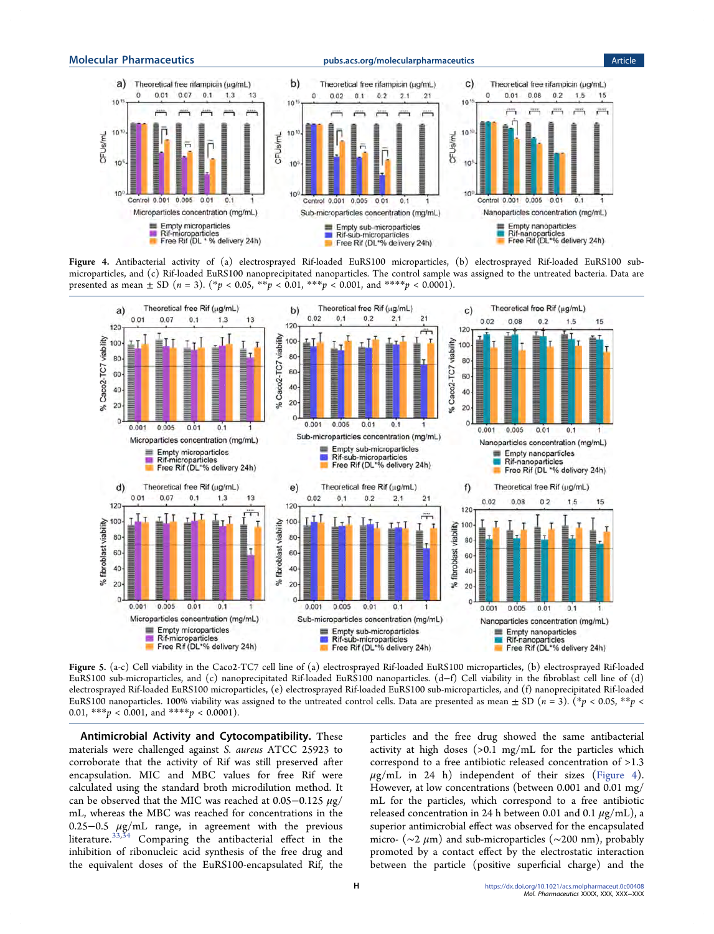<span id="page-7-0"></span>



Figure 4. Antibacterial activity of (a) electrosprayed Rif-loaded EuRS100 microparticles, (b) electrosprayed Rif-loaded EuRS100 submicroparticles, and (c) Rif-loaded EuRS100 nanoprecipitated nanoparticles. The control sample was assigned to the untreated bacteria. Data are presented as mean  $\pm$  SD ( $n = 3$ ). (\* $p < 0.05$ , \*\* $p < 0.01$ , \*\*\* $p < 0.001$ , and \*\*\*\* $p < 0.0001$ ).



Figure 5. (a-c) Cell viability in the Caco2-TC7 cell line of (a) electrosprayed Rif-loaded EuRS100 microparticles, (b) electrosprayed Rif-loaded EuRS100 sub-microparticles, and (c) nanoprecipitated Rif-loaded EuRS100 nanoparticles. (d−f) Cell viability in the fibroblast cell line of (d) electrosprayed Rif-loaded EuRS100 microparticles, (e) electrosprayed Rif-loaded EuRS100 sub-microparticles, and (f) nanoprecipitated Rif-loaded EuRS100 nanoparticles. 100% viability was assigned to the untreated control cells. Data are presented as mean  $\pm$  SD ( $n = 3$ ). (\*p < 0.05, \*\*p < 0.01, \*\*\*  $p < 0.001$ , and \*\*\*\*  $p < 0.0001$ ).

Antimicrobial Activity and Cytocompatibility. These materials were challenged against S. aureus ATCC 25923 to corroborate that the activity of Rif was still preserved after encapsulation. MIC and MBC values for free Rif were calculated using the standard broth microdilution method. It can be observed that the MIC was reached at  $0.05-0.125 \mu g$ / mL, whereas the MBC was reached for concentrations in the 0.25−0.5 μg/mL range, in agreement with the previous literature.<sup>[33](#page-12-0),[34](#page-12-0)</sup> Comparing the antibacterial effect in the inhibition of ribonucleic acid synthesis of the free drug and the equivalent doses of the EuRS100-encapsulated Rif, the

particles and the free drug showed the same antibacterial activity at high doses (>0.1 mg/mL for the particles which correspond to a free antibiotic released concentration of >1.3  $\mu$ g/mL in 24 h) independent of their sizes (Figure 4). However, at low concentrations (between 0.001 and 0.01 mg/ mL for the particles, which correspond to a free antibiotic released concentration in 24 h between 0.01 and 0.1  $\mu$ g/mL), a superior antimicrobial effect was observed for the encapsulated micro- ( $\sim$ 2 µm) and sub-microparticles ( $\sim$ 200 nm), probably promoted by a contact effect by the electrostatic interaction between the particle (positive superficial charge) and the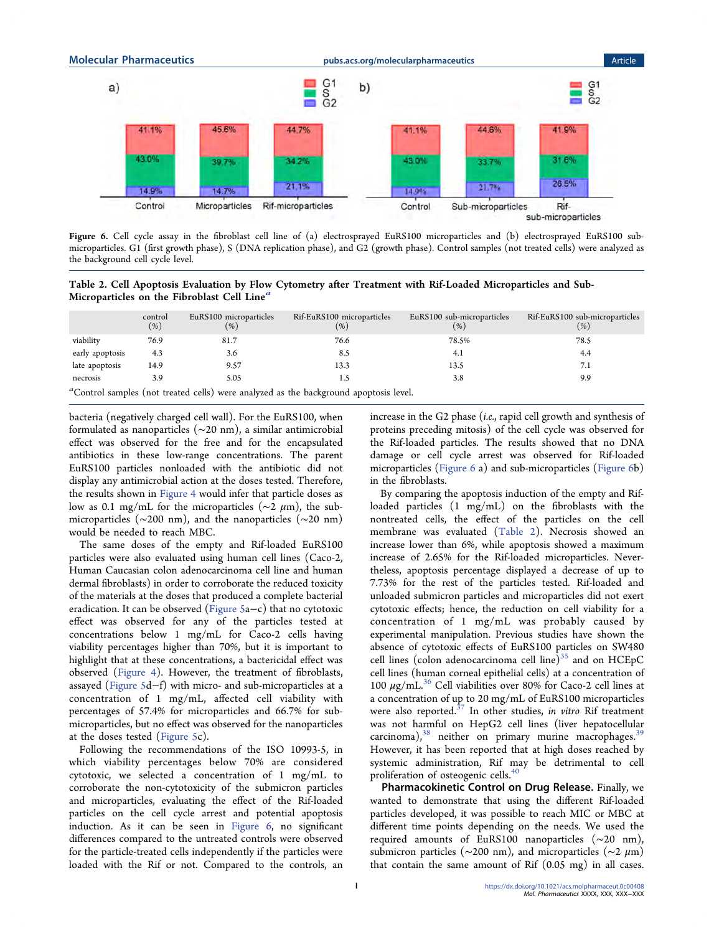

Figure 6. Cell cycle assay in the fibroblast cell line of (a) electrosprayed EuRS100 microparticles and (b) electrosprayed EuRS100 submicroparticles. G1 (first growth phase), S (DNA replication phase), and G2 (growth phase). Control samples (not treated cells) were analyzed as the background cell cycle level.

Table 2. Cell Apoptosis Evaluation by Flow Cytometry after Treatment with Rif-Loaded Microparticles and Sub-Microparticles on the Fibroblast Cell Line<sup>a</sup>

|                                                                                       | control<br>(% ) | EuRS100 microparticles<br>(% ) | Rif-EuRS100 microparticles<br>(% ) | EuRS100 sub-microparticles<br>(% ) | Rif-EuRS100 sub-microparticles<br>( %) |  |
|---------------------------------------------------------------------------------------|-----------------|--------------------------------|------------------------------------|------------------------------------|----------------------------------------|--|
| viability                                                                             | 76.9            | 81.7                           | 76.6                               | 78.5%                              | 78.5                                   |  |
| early apoptosis                                                                       | 4.3             | 3.6                            | 8.5                                | 4.1                                | 4.4                                    |  |
| late apoptosis                                                                        | 14.9            | 9.57                           | 13.3                               | 13.5                               | 7.1                                    |  |
| necrosis                                                                              | 3.9             | 5.05                           |                                    | 3.8                                | 9.9                                    |  |
| "Control samples (not treated cells) were analyzed as the background apoptosis level. |                 |                                |                                    |                                    |                                        |  |

bacteria (negatively charged cell wall). For the EuRS100, when formulated as nanoparticles (∼20 nm), a similar antimicrobial effect was observed for the free and for the encapsulated antibiotics in these low-range concentrations. The parent EuRS100 particles nonloaded with the antibiotic did not display any antimicrobial action at the doses tested. Therefore, the results shown in [Figure 4](#page-7-0) would infer that particle doses as low as 0.1 mg/mL for the microparticles ( $\sim$ 2 µm), the submicroparticles (∼200 nm), and the nanoparticles (∼20 nm) would be needed to reach MBC.

The same doses of the empty and Rif-loaded EuRS100 particles were also evaluated using human cell lines (Caco-2, Human Caucasian colon adenocarcinoma cell line and human dermal fibroblasts) in order to corroborate the reduced toxicity of the materials at the doses that produced a complete bacterial eradication. It can be observed [\(Figure 5a](#page-7-0)−c) that no cytotoxic effect was observed for any of the particles tested at concentrations below 1 mg/mL for Caco-2 cells having viability percentages higher than 70%, but it is important to highlight that at these concentrations, a bactericidal effect was observed [\(Figure 4\)](#page-7-0). However, the treatment of fibroblasts, assayed ([Figure 5](#page-7-0)d−f) with micro- and sub-microparticles at a concentration of 1 mg/mL, affected cell viability with percentages of 57.4% for microparticles and 66.7% for submicroparticles, but no effect was observed for the nanoparticles at the doses tested ([Figure 5](#page-7-0)c).

Following the recommendations of the ISO 10993-5, in which viability percentages below 70% are considered cytotoxic, we selected a concentration of 1 mg/mL to corroborate the non-cytotoxicity of the submicron particles and microparticles, evaluating the effect of the Rif-loaded particles on the cell cycle arrest and potential apoptosis induction. As it can be seen in Figure 6, no significant differences compared to the untreated controls were observed for the particle-treated cells independently if the particles were loaded with the Rif or not. Compared to the controls, an

increase in the G2 phase (i.e., rapid cell growth and synthesis of proteins preceding mitosis) of the cell cycle was observed for the Rif-loaded particles. The results showed that no DNA damage or cell cycle arrest was observed for Rif-loaded microparticles (Figure 6 a) and sub-microparticles (Figure 6b) in the fibroblasts.

By comparing the apoptosis induction of the empty and Rifloaded particles (1 mg/mL) on the fibroblasts with the nontreated cells, the effect of the particles on the cell membrane was evaluated (Table 2). Necrosis showed an increase lower than 6%, while apoptosis showed a maximum increase of 2.65% for the Rif-loaded microparticles. Nevertheless, apoptosis percentage displayed a decrease of up to 7.73% for the rest of the particles tested. Rif-loaded and unloaded submicron particles and microparticles did not exert cytotoxic effects; hence, the reduction on cell viability for a concentration of 1 mg/mL was probably caused by experimental manipulation. Previous studies have shown the absence of cytotoxic effects of EuRS100 particles on SW480 cell lines (colon adenocarcinoma cell line) $35$  and on HCEpC cell lines (human corneal epithelial cells) at a concentration of 100  $\mu$ g/mL.<sup>[36](#page-12-0)</sup> Cell viabilities over 80% for Caco-2 cell lines at a concentration of up to 20 mg/mL of EuRS100 microparticles were also reported. $37$  In other studies, in vitro Rif treatment was not harmful on HepG2 cell lines (liver hepatocellular carcinoma), $38$  neither on primary murine macrophages. $39$ However, it has been reported that at high doses reached by systemic administration, Rif may be detrimental to cell proliferation of osteogenic cells.<sup>[40](#page-12-0)</sup>

Pharmacokinetic Control on Drug Release. Finally, we wanted to demonstrate that using the different Rif-loaded particles developed, it was possible to reach MIC or MBC at different time points depending on the needs. We used the required amounts of EuRS100 nanoparticles (∼20 nm), submicron particles ( $\sim$ 200 nm), and microparticles ( $\sim$ 2 µm) that contain the same amount of Rif (0.05 mg) in all cases.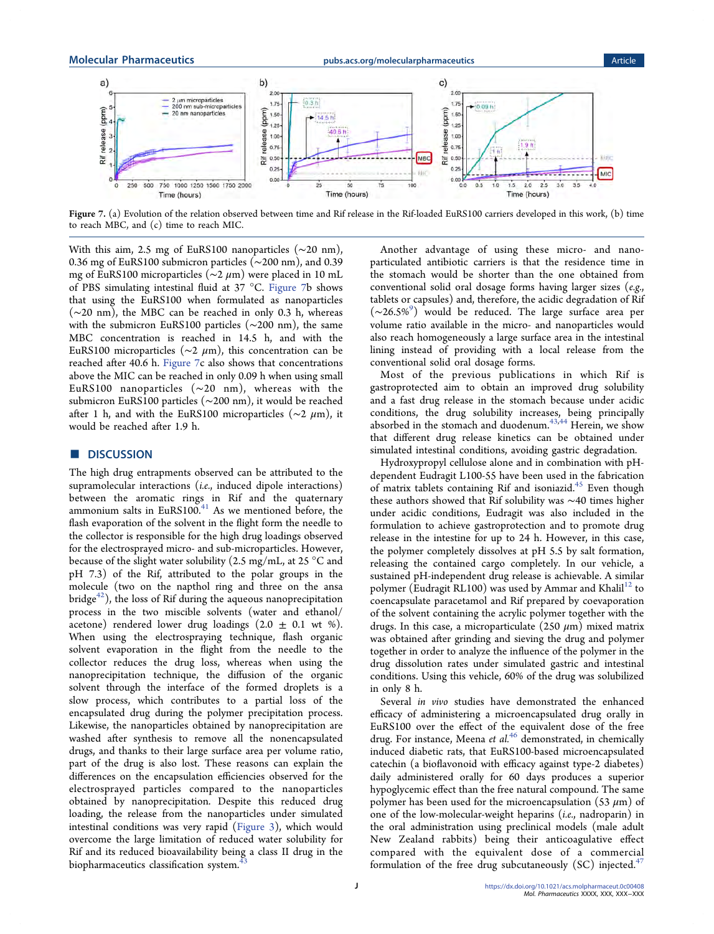Molecular Pharmaceutics and the [pubs.acs.org/molecularpharmaceutics](pubs.acs.org/molecularpharmaceutics?ref=pdf) and the Article



Figure 7. (a) Evolution of the relation observed between time and Rif release in the Rif-loaded EuRS100 carriers developed in this work, (b) time to reach MBC, and (c) time to reach MIC.

With this aim, 2.5 mg of EuRS100 nanoparticles (∼20 nm), 0.36 mg of EuRS100 submicron particles (∼200 nm), and 0.39 mg of EuRS100 microparticles (∼2 μm) were placed in 10 mL of PBS simulating intestinal fluid at 37 °C. Figure 7b shows that using the EuRS100 when formulated as nanoparticles (∼20 nm), the MBC can be reached in only 0.3 h, whereas with the submicron EuRS100 particles (∼200 nm), the same MBC concentration is reached in 14.5 h, and with the EuRS100 microparticles ( $\sim$ 2  $\mu$ m), this concentration can be reached after 40.6 h. Figure 7c also shows that concentrations above the MIC can be reached in only 0.09 h when using small EuRS100 nanoparticles (∼20 nm), whereas with the submicron EuRS100 particles (∼200 nm), it would be reached after 1 h, and with the EuRS100 microparticles ( $\sim$ 2 µm), it would be reached after 1.9 h.

# ■ DISCUSSION

The high drug entrapments observed can be attributed to the supramolecular interactions (i.e., induced dipole interactions) between the aromatic rings in Rif and the quaternary ammonium salts in EuRS100. $41$  As we mentioned before, the flash evaporation of the solvent in the flight form the needle to the collector is responsible for the high drug loadings observed for the electrosprayed micro- and sub-microparticles. However, because of the slight water solubility (2.5 mg/mL, at 25 °C and pH 7.3) of the Rif, attributed to the polar groups in the molecule (two on the napthol ring and three on the ansa  $bridge<sup>42</sup>$ , the loss of Rif during the aqueous nanoprecipitation process in the two miscible solvents (water and ethanol/ acetone) rendered lower drug loadings  $(2.0 \pm 0.1 \text{ wt } \%)$ . When using the electrospraying technique, flash organic solvent evaporation in the flight from the needle to the collector reduces the drug loss, whereas when using the nanoprecipitation technique, the diffusion of the organic solvent through the interface of the formed droplets is a slow process, which contributes to a partial loss of the encapsulated drug during the polymer precipitation process. Likewise, the nanoparticles obtained by nanoprecipitation are washed after synthesis to remove all the nonencapsulated drugs, and thanks to their large surface area per volume ratio, part of the drug is also lost. These reasons can explain the differences on the encapsulation efficiencies observed for the electrosprayed particles compared to the nanoparticles obtained by nanoprecipitation. Despite this reduced drug loading, the release from the nanoparticles under simulated intestinal conditions was very rapid ([Figure 3\)](#page-5-0), which would overcome the large limitation of reduced water solubility for Rif and its reduced bioavailability being a class II drug in the biopharmaceutics classification system.<sup>4</sup>

Another advantage of using these micro- and nanoparticulated antibiotic carriers is that the residence time in the stomach would be shorter than the one obtained from conventional solid oral dosage forms having larger sizes (e.g., tablets or capsules) and, therefore, the acidic degradation of Rif (∼26.5%[9](#page-11-0) ) would be reduced. The large surface area per volume ratio available in the micro- and nanoparticles would also reach homogeneously a large surface area in the intestinal lining instead of providing with a local release from the conventional solid oral dosage forms.

Most of the previous publications in which Rif is gastroprotected aim to obtain an improved drug solubility and a fast drug release in the stomach because under acidic conditions, the drug solubility increases, being principally absorbed in the stomach and duodenum.<sup>[43,44](#page-12-0)</sup> Herein, we show that different drug release kinetics can be obtained under simulated intestinal conditions, avoiding gastric degradation.

Hydroxypropyl cellulose alone and in combination with pHdependent Eudragit L100-55 have been used in the fabrication of matrix tablets containing Rif and isoniazid.<sup>[45](#page-12-0)</sup> Even though these authors showed that Rif solubility was ∼40 times higher under acidic conditions, Eudragit was also included in the formulation to achieve gastroprotection and to promote drug release in the intestine for up to 24 h. However, in this case, the polymer completely dissolves at pH 5.5 by salt formation, releasing the contained cargo completely. In our vehicle, a sustained pH-independent drug release is achievable. A similar polymer (Eudragit RL100) was used by Ammar and Khalil<sup>[12](#page-11-0)</sup> to coencapsulate paracetamol and Rif prepared by coevaporation of the solvent containing the acrylic polymer together with the drugs. In this case, a microparticulate (250  $\mu$ m) mixed matrix was obtained after grinding and sieving the drug and polymer together in order to analyze the influence of the polymer in the drug dissolution rates under simulated gastric and intestinal conditions. Using this vehicle, 60% of the drug was solubilized in only 8 h.

Several in vivo studies have demonstrated the enhanced efficacy of administering a microencapsulated drug orally in EuRS100 over the effect of the equivalent dose of the free drug. For instance, Meena et  $al^{46}$  $al^{46}$  $al^{46}$  demonstrated, in chemically induced diabetic rats, that EuRS100-based microencapsulated catechin (a bioflavonoid with efficacy against type-2 diabetes) daily administered orally for 60 days produces a superior hypoglycemic effect than the free natural compound. The same polymer has been used for the microencapsulation (53  $\mu$ m) of one of the low-molecular-weight heparins (i.e., nadroparin) in the oral administration using preclinical models (male adult New Zealand rabbits) being their anticoagulative effect compared with the equivalent dose of a commercial formulation of the free drug subcutaneously  $(SC)$  injected.<sup>[47](#page-12-0)</sup>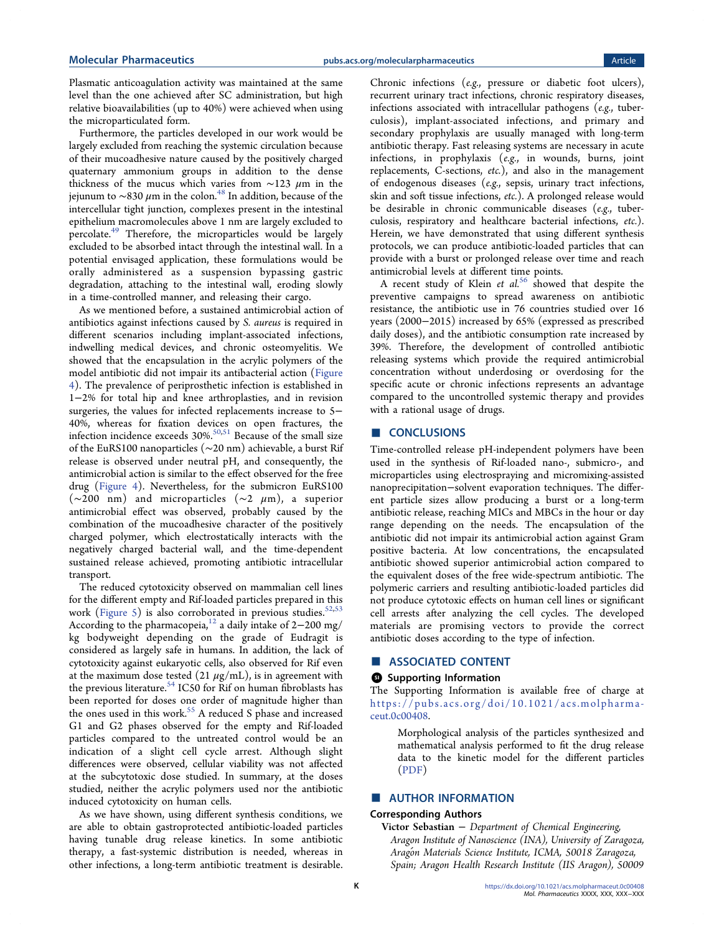Plasmatic anticoagulation activity was maintained at the same level than the one achieved after SC administration, but high relative bioavailabilities (up to 40%) were achieved when using the microparticulated form.

Furthermore, the particles developed in our work would be largely excluded from reaching the systemic circulation because of their mucoadhesive nature caused by the positively charged quaternary ammonium groups in addition to the dense thickness of the mucus which varies from ∼123 μm in the jejunum to ∼830  $\mu$ m in the colon.<sup>[48](#page-12-0)</sup> In addition, because of the intercellular tight junction, complexes present in the intestinal epithelium macromolecules above 1 nm are largely excluded to percolate[.49](#page-12-0) Therefore, the microparticles would be largely excluded to be absorbed intact through the intestinal wall. In a potential envisaged application, these formulations would be orally administered as a suspension bypassing gastric degradation, attaching to the intestinal wall, eroding slowly in a time-controlled manner, and releasing their cargo.

As we mentioned before, a sustained antimicrobial action of antibiotics against infections caused by S. aureus is required in different scenarios including implant-associated infections, indwelling medical devices, and chronic osteomyelitis. We showed that the encapsulation in the acrylic polymers of the model antibiotic did not impair its antibacterial action [\(Figure](#page-7-0) [4](#page-7-0)). The prevalence of periprosthetic infection is established in 1−2% for total hip and knee arthroplasties, and in revision surgeries, the values for infected replacements increase to 5− 40%, whereas for fixation devices on open fractures, the infection incidence exceeds  $30\%$ .<sup>[50,51](#page-12-0)</sup> Because of the small size of the EuRS100 nanoparticles (∼20 nm) achievable, a burst Rif release is observed under neutral pH, and consequently, the antimicrobial action is similar to the effect observed for the free drug ([Figure 4\)](#page-7-0). Nevertheless, for the submicron EuRS100 (∼200 nm) and microparticles (∼2 μm), a superior antimicrobial effect was observed, probably caused by the combination of the mucoadhesive character of the positively charged polymer, which electrostatically interacts with the negatively charged bacterial wall, and the time-dependent sustained release achieved, promoting antibiotic intracellular transport.

The reduced cytotoxicity observed on mammalian cell lines for the different empty and Rif-loaded particles prepared in this work [\(Figure 5](#page-7-0)) is also corroborated in previous studies.<sup>[52,53](#page-12-0)</sup> According to the pharmacopeia,<sup>[12](#page-11-0)</sup> a daily intake of 2–200 mg/ kg bodyweight depending on the grade of Eudragit is considered as largely safe in humans. In addition, the lack of cytotoxicity against eukaryotic cells, also observed for Rif even at the maximum dose tested  $(21 \mu g/mL)$ , is in agreement with the previous literature.<sup>[54](#page-12-0)</sup> IC50 for Rif on human fibroblasts has been reported for doses one order of magnitude higher than the ones used in this work.<sup>[55](#page-12-0)</sup> A reduced S phase and increased G1 and G2 phases observed for the empty and Rif-loaded particles compared to the untreated control would be an indication of a slight cell cycle arrest. Although slight differences were observed, cellular viability was not affected at the subcytotoxic dose studied. In summary, at the doses studied, neither the acrylic polymers used nor the antibiotic induced cytotoxicity on human cells.

As we have shown, using different synthesis conditions, we are able to obtain gastroprotected antibiotic-loaded particles having tunable drug release kinetics. In some antibiotic therapy, a fast-systemic distribution is needed, whereas in other infections, a long-term antibiotic treatment is desirable.

Chronic infections (e.g., pressure or diabetic foot ulcers), recurrent urinary tract infections, chronic respiratory diseases, infections associated with intracellular pathogens (e.g., tuberculosis), implant-associated infections, and primary and secondary prophylaxis are usually managed with long-term antibiotic therapy. Fast releasing systems are necessary in acute infections, in prophylaxis (e.g., in wounds, burns, joint replacements, C-sections, etc.), and also in the management of endogenous diseases (e.g., sepsis, urinary tract infections, skin and soft tissue infections, etc.). A prolonged release would be desirable in chronic communicable diseases (e.g., tuberculosis, respiratory and healthcare bacterial infections, etc.). Herein, we have demonstrated that using different synthesis protocols, we can produce antibiotic-loaded particles that can provide with a burst or prolonged release over time and reach antimicrobial levels at different time points.

A recent study of Klein et  $al^{56}$  $al^{56}$  $al^{56}$  showed that despite the preventive campaigns to spread awareness on antibiotic resistance, the antibiotic use in 76 countries studied over 16 years (2000−2015) increased by 65% (expressed as prescribed daily doses), and the antibiotic consumption rate increased by 39%. Therefore, the development of controlled antibiotic releasing systems which provide the required antimicrobial concentration without underdosing or overdosing for the specific acute or chronic infections represents an advantage compared to the uncontrolled systemic therapy and provides with a rational usage of drugs.

# ■ CONCLUSIONS

Time-controlled release pH-independent polymers have been used in the synthesis of Rif-loaded nano-, submicro-, and microparticles using electrospraying and micromixing-assisted nanoprecipitation−solvent evaporation techniques. The different particle sizes allow producing a burst or a long-term antibiotic release, reaching MICs and MBCs in the hour or day range depending on the needs. The encapsulation of the antibiotic did not impair its antimicrobial action against Gram positive bacteria. At low concentrations, the encapsulated antibiotic showed superior antimicrobial action compared to the equivalent doses of the free wide-spectrum antibiotic. The polymeric carriers and resulting antibiotic-loaded particles did not produce cytotoxic effects on human cell lines or significant cell arrests after analyzing the cell cycles. The developed materials are promising vectors to provide the correct antibiotic doses according to the type of infection.

# ■ ASSOCIATED CONTENT

#### **<sup>3</sup>** Supporting Information

The Supporting Information is available free of charge at [https://pubs.acs.org/doi/10.1021/acs.molpharma](https://pubs.acs.org/doi/10.1021/acs.molpharmaceut.0c00408?goto=supporting-info)[ceut.0c00408](https://pubs.acs.org/doi/10.1021/acs.molpharmaceut.0c00408?goto=supporting-info).

Morphological analysis of the particles synthesized and mathematical analysis performed to fit the drug release data to the kinetic model for the different particles ([PDF](http://pubs.acs.org/doi/suppl/10.1021/acs.molpharmaceut.0c00408/suppl_file/mp0c00408_si_001.pdf))

# ■ AUTHOR INFORMATION

#### Corresponding Authors

Victor Sebastian − Department of Chemical Engineering, Aragon Institute of Nanoscience (INA), University of Zaragoza, Aragon Materials Science Institute, ICMA, 50018 Zaragoza, Spain; Aragon Health Research Institute (IIS Aragon), 50009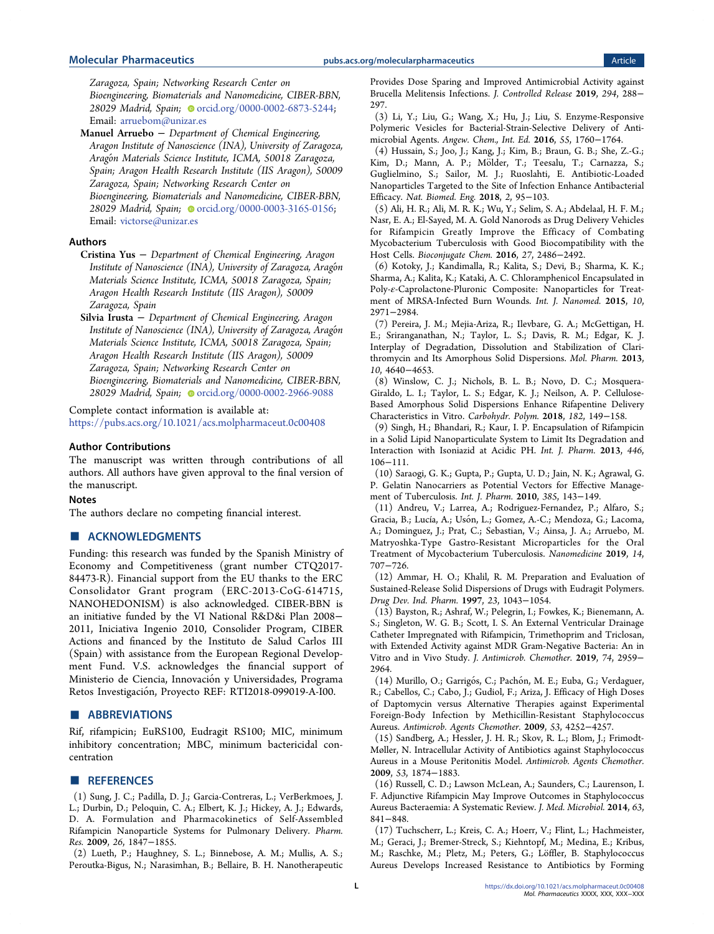<span id="page-11-0"></span>Zaragoza, Spain; Networking Research Center on Bioengineering, Biomaterials and Nanomedicine, CIBER-BBN, 28029 Madrid, Spain; Orcid.org/0000-0002-6873-5244; Email: [arruebom@unizar.es](mailto:arruebom@unizar.es)

Manuel Arruebo − Department of Chemical Engineering, Aragon Institute of Nanoscience (INA), University of Zaragoza, Aragon Materials Science Institute, ICMA, 50018 Zaragoza, Spain; Aragon Health Research Institute (IIS Aragon), 50009 Zaragoza, Spain; Networking Research Center on Bioengineering, Biomaterials and Nanomedicine, CIBER-BBN, 28029 Madrid, Spain; [orcid.org/0000-0003-3165-0156](http://orcid.org/0000-0003-3165-0156); Email: [victorse@unizar.es](mailto:victorse@unizar.es)

#### Authors

- Cristina Yus − Department of Chemical Engineering, Aragon Institute of Nanoscience (INA), University of Zaragoza, Aragoń Materials Science Institute, ICMA, 50018 Zaragoza, Spain; Aragon Health Research Institute (IIS Aragon), 50009 Zaragoza, Spain
- Silvia Irusta − Department of Chemical Engineering, Aragon Institute of Nanoscience (INA), University of Zaragoza, Aragoń Materials Science Institute, ICMA, 50018 Zaragoza, Spain; Aragon Health Research Institute (IIS Aragon), 50009 Zaragoza, Spain; Networking Research Center on Bioengineering, Biomaterials and Nanomedicine, CIBER-BBN, 28029 Madrid, Spain; [orcid.org/0000-0002-2966-9088](http://orcid.org/0000-0002-2966-9088)

#### Complete contact information is available at:

[https://pubs.acs.org/10.1021/acs.molpharmaceut.0c00408](https://pubs.acs.org/doi/10.1021/acs.molpharmaceut.0c00408?ref=pdf)

#### Author Contributions

The manuscript was written through contributions of all authors. All authors have given approval to the final version of the manuscript.

### Notes

The authors declare no competing financial interest.

# ■ ACKNOWLEDGMENTS

Funding: this research was funded by the Spanish Ministry of Economy and Competitiveness (grant number CTQ2017- 84473-R). Financial support from the EU thanks to the ERC Consolidator Grant program (ERC-2013-CoG-614715, NANOHEDONISM) is also acknowledged. CIBER-BBN is an initiative funded by the VI National R&D&i Plan 2008− 2011, Iniciativa Ingenio 2010, Consolider Program, CIBER Actions and financed by the Instituto de Salud Carlos III (Spain) with assistance from the European Regional Development Fund. V.S. acknowledges the financial support of Ministerio de Ciencia, Innovación y Universidades, Programa Retos Investigación, Proyecto REF: RTI2018-099019-A-I00.

# ■ ABBREVIATIONS

Rif, rifampicin; EuRS100, Eudragit RS100; MIC, minimum inhibitory concentration; MBC, minimum bactericidal concentration

#### ■ REFERENCES

(1) Sung, J. C.; Padilla, D. J.; Garcia-Contreras, L.; VerBerkmoes, J. L.; Durbin, D.; Peloquin, C. A.; Elbert, K. J.; Hickey, A. J.; Edwards, D. A[. Formulation and Pharmacokinetics of Self-Assembled](https://dx.doi.org/10.1007/s11095-009-9894-2) [Rifampicin Nanoparticle Systems for Pulmonary Delivery.](https://dx.doi.org/10.1007/s11095-009-9894-2) Pharm. Res. 2009, 26, 1847−1855.

(2) Lueth, P.; Haughney, S. L.; Binnebose, A. M.; Mullis, A. S.; Peroutka-Bigus, N.; Narasimhan, B.; Bellaire, B. H. [Nanotherapeutic](https://dx.doi.org/10.1016/J.JCONREL.2018.12.024)

[Provides Dose Sparing and Improved Antimicrobial Activity against](https://dx.doi.org/10.1016/J.JCONREL.2018.12.024) [Brucella Melitensis Infections.](https://dx.doi.org/10.1016/J.JCONREL.2018.12.024) J. Controlled Release 2019, 294, 288− 297.

(3) Li, Y.; Liu, G.; Wang, X.; Hu, J.; Liu, S[. Enzyme-Responsive](https://dx.doi.org/10.1002/anie.201509401) [Polymeric Vesicles for Bacterial-Strain-Selective Delivery of Anti](https://dx.doi.org/10.1002/anie.201509401)[microbial Agents.](https://dx.doi.org/10.1002/anie.201509401) Angew. Chem., Int. Ed. 2016, 55, 1760−1764.

(4) Hussain, S.; Joo, J.; Kang, J.; Kim, B.; Braun, G. B.; She, Z.-G.; Kim, D.; Mann, A. P.; Mölder, T.; Teesalu, T.; Carnazza, S.; Guglielmino, S.; Sailor, M. J.; Ruoslahti, E. [Antibiotic-Loaded](https://dx.doi.org/10.1038/s41551-017-0187-5) [Nanoparticles Targeted to the Site of Infection Enhance Antibacterial](https://dx.doi.org/10.1038/s41551-017-0187-5) [Efficacy.](https://dx.doi.org/10.1038/s41551-017-0187-5) Nat. Biomed. Eng. 2018, 2, 95−103.

(5) Ali, H. R.; Ali, M. R. K.; Wu, Y.; Selim, S. A.; Abdelaal, H. F. M.; Nasr, E. A.; El-Sayed, M. A[. Gold Nanorods as Drug Delivery Vehicles](https://dx.doi.org/10.1021/acs.bioconjchem.6b00430) [for Rifampicin Greatly Improve the Efficacy of Combating](https://dx.doi.org/10.1021/acs.bioconjchem.6b00430) [Mycobacterium Tuberculosis with Good Biocompatibility with the](https://dx.doi.org/10.1021/acs.bioconjchem.6b00430) [Host Cells.](https://dx.doi.org/10.1021/acs.bioconjchem.6b00430) Bioconjugate Chem. 2016, 27, 2486−2492.

(6) Kotoky, J.; Kandimalla, R.; Kalita, S.; Devi, B.; Sharma, K. K.; Sharma, A.; Kalita, K.; Kataki, A. C[. Chloramphenicol Encapsulated in](https://dx.doi.org/10.2147/IJN.S75023) Poly-ε[-Caprolactone-Pluronic Composite: Nanoparticles for Treat](https://dx.doi.org/10.2147/IJN.S75023)[ment of MRSA-Infected Burn Wounds.](https://dx.doi.org/10.2147/IJN.S75023) Int. J. Nanomed. 2015, 10, 2971−2984.

(7) Pereira, J. M.; Mejia-Ariza, R.; Ilevbare, G. A.; McGettigan, H. E.; Sriranganathan, N.; Taylor, L. S.; Davis, R. M.; Edgar, K. J. [Interplay of Degradation, Dissolution and Stabilization of Clari](https://dx.doi.org/10.1021/mp400441d)[thromycin and Its Amorphous Solid Dispersions.](https://dx.doi.org/10.1021/mp400441d) Mol. Pharm. 2013, 10, 4640−4653.

(8) Winslow, C. J.; Nichols, B. L. B.; Novo, D. C.; Mosquera-Giraldo, L. I.; Taylor, L. S.; Edgar, K. J.; Neilson, A. P[. Cellulose-](https://dx.doi.org/10.1016/j.carbpol.2017.11.024)[Based Amorphous Solid Dispersions Enhance Rifapentine Delivery](https://dx.doi.org/10.1016/j.carbpol.2017.11.024) [Characteristics in Vitro.](https://dx.doi.org/10.1016/j.carbpol.2017.11.024) Carbohydr. Polym. 2018, 182, 149−158.

(9) Singh, H.; Bhandari, R.; Kaur, I. P[. Encapsulation of Rifampicin](https://dx.doi.org/10.1016/j.ijpharm.2013.02.012) [in a Solid Lipid Nanoparticulate System to Limit Its Degradation and](https://dx.doi.org/10.1016/j.ijpharm.2013.02.012) [Interaction with Isoniazid at Acidic PH.](https://dx.doi.org/10.1016/j.ijpharm.2013.02.012) Int. J. Pharm. 2013, 446, 106−111.

(10) Saraogi, G. K.; Gupta, P.; Gupta, U. D.; Jain, N. K.; Agrawal, G. P. [Gelatin Nanocarriers as Potential Vectors for Effective Manage](https://dx.doi.org/10.1016/j.ijpharm.2009.10.004)[ment of Tuberculosis.](https://dx.doi.org/10.1016/j.ijpharm.2009.10.004) Int. J. Pharm. 2010, 385, 143−149.

(11) Andreu, V.; Larrea, A.; Rodriguez-Fernandez, P.; Alfaro, S.; Gracia, B.; Lucía, A.; Usón, L.; Gomez, A.-C.; Mendoza, G.; Lacoma, A.; Dominguez, J.; Prat, C.; Sebastian, V.; Ainsa, J. A.; Arruebo, M. [Matryoshka-Type Gastro-Resistant Microparticles for the Oral](https://dx.doi.org/10.2217/nnm-2018-0258) [Treatment of Mycobacterium Tuberculosis.](https://dx.doi.org/10.2217/nnm-2018-0258) Nanomedicine 2019, 14, 707−726.

(12) Ammar, H. O.; Khalil, R. M[. Preparation and Evaluation of](https://dx.doi.org/10.3109/03639049709150492) [Sustained-Release Solid Dispersions of Drugs with Eudragit Polymers.](https://dx.doi.org/10.3109/03639049709150492) Drug Dev. Ind. Pharm. 1997, 23, 1043−1054.

(13) Bayston, R.; Ashraf, W.; Pelegrin, I.; Fowkes, K.; Bienemann, A. S.; Singleton, W. G. B.; Scott, I. S[. An External Ventricular Drainage](https://dx.doi.org/10.1093/jac/dkz293) [Catheter Impregnated with Rifampicin, Trimethoprim and Triclosan,](https://dx.doi.org/10.1093/jac/dkz293) [with Extended Activity against MDR Gram-Negative Bacteria: An in](https://dx.doi.org/10.1093/jac/dkz293) [Vitro and in Vivo Study.](https://dx.doi.org/10.1093/jac/dkz293) J. Antimicrob. Chemother. 2019, 74, 2959− 2964.

(14) Murillo, O.; Garrigós, C.; Pachón, M. E.; Euba, G.; Verdaguer, R.; Cabellos, C.; Cabo, J.; Gudiol, F.; Ariza, J. [Efficacy of High Doses](https://dx.doi.org/10.1128/AAC.00208-09) [of Daptomycin versus Alternative Therapies against Experimental](https://dx.doi.org/10.1128/AAC.00208-09) [Foreign-Body Infection by Methicillin-Resistant Staphylococcus](https://dx.doi.org/10.1128/AAC.00208-09) [Aureus.](https://dx.doi.org/10.1128/AAC.00208-09) Antimicrob. Agents Chemother. 2009, 53, 4252−4257.

(15) Sandberg, A.; Hessler, J. H. R.; Skov, R. L.; Blom, J.; Frimodt-Møller, N[. Intracellular Activity of Antibiotics against Staphylococcus](https://dx.doi.org/10.1128/AAC.01605-07) [Aureus in a Mouse Peritonitis Model.](https://dx.doi.org/10.1128/AAC.01605-07) Antimicrob. Agents Chemother. 2009, 53, 1874−1883.

(16) Russell, C. D.; Lawson McLean, A.; Saunders, C.; Laurenson, I. F[. Adjunctive Rifampicin May Improve Outcomes in Staphylococcus](https://dx.doi.org/10.1099/jmm.0.072280-0) [Aureus Bacteraemia: A Systematic Review.](https://dx.doi.org/10.1099/jmm.0.072280-0) J. Med. Microbiol. 2014, 63, 841−848.

(17) Tuchscherr, L.; Kreis, C. A.; Hoerr, V.; Flint, L.; Hachmeister, M.; Geraci, J.; Bremer-Streck, S.; Kiehntopf, M.; Medina, E.; Kribus, M.; Raschke, M.; Pletz, M.; Peters, G.; Löffler, B. [Staphylococcus](https://dx.doi.org/10.1093/jac/dkv371) [Aureus Develops Increased Resistance to Antibiotics by Forming](https://dx.doi.org/10.1093/jac/dkv371)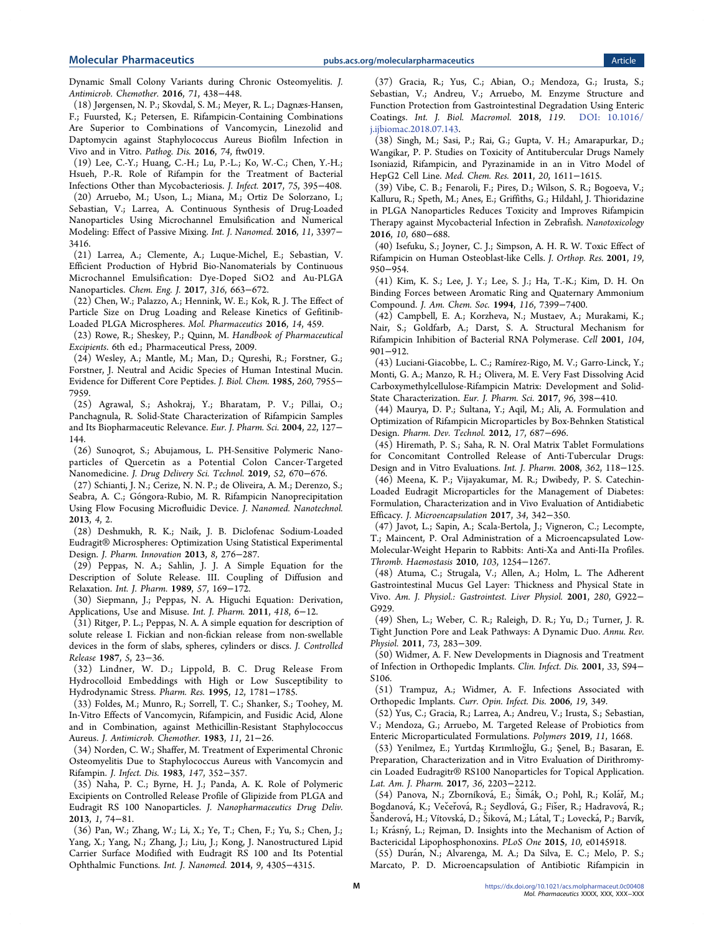<span id="page-12-0"></span>[Dynamic Small Colony Variants during Chronic Osteomyelitis.](https://dx.doi.org/10.1093/jac/dkv371) J. Antimicrob. Chemother. 2016, 71, 438−448.

(18) Jørgensen, N. P.; Skovdal, S. M.; Meyer, R. L.; Dagnæs-Hansen, F.; Fuursted, K.; Petersen, E. [Rifampicin-Containing Combinations](https://dx.doi.org/10.1093/femspd/ftw019) [Are Superior to Combinations of Vancomycin, Linezolid and](https://dx.doi.org/10.1093/femspd/ftw019) [Daptomycin against Staphylococcus Aureus Biofilm Infection in](https://dx.doi.org/10.1093/femspd/ftw019) [Vivo and in Vitro.](https://dx.doi.org/10.1093/femspd/ftw019) Pathog. Dis. 2016, 74, ftw019.

(19) Lee, C.-Y.; Huang, C.-H.; Lu, P.-L.; Ko, W.-C.; Chen, Y.-H.; Hsueh, P.-R[. Role of Rifampin for the Treatment of Bacterial](https://dx.doi.org/10.1016/j.jinf.2017.08.013) [Infections Other than Mycobacteriosis.](https://dx.doi.org/10.1016/j.jinf.2017.08.013) J. Infect. 2017, 75, 395−408.

(20) Arruebo, M.; Uson, L.; Miana, M.; Ortiz De Solorzano, I.; Sebastian, V.; Larrea, A. [Continuous Synthesis of Drug-Loaded](https://dx.doi.org/10.2147/IJN.S108812) [Nanoparticles Using Microchannel Emulsification and Numerical](https://dx.doi.org/10.2147/IJN.S108812) [Modeling: Effect of Passive Mixing.](https://dx.doi.org/10.2147/IJN.S108812) Int. J. Nanomed. 2016, 11, 3397− 3416.

(21) Larrea, A.; Clemente, A.; Luque-Michel, E.; Sebastian, V. [Efficient Production of Hybrid Bio-Nanomaterials by Continuous](https://dx.doi.org/10.1016/j.cej.2017.02.003) [Microchannel Emulsification: Dye-Doped SiO2 and Au-PLGA](https://dx.doi.org/10.1016/j.cej.2017.02.003) [Nanoparticles.](https://dx.doi.org/10.1016/j.cej.2017.02.003) Chem. Eng. J. 2017, 316, 663−672.

(22) Chen, W.; Palazzo, A.; Hennink, W. E.; Kok, R. J. [The Effect of](https://dx.doi.org/10.1021/acs.molpharmaceut.6b00896) [Particle Size on Drug Loading and Release Kinetics of Gefitinib-](https://dx.doi.org/10.1021/acs.molpharmaceut.6b00896)[Loaded PLGA Microspheres.](https://dx.doi.org/10.1021/acs.molpharmaceut.6b00896) Mol. Pharmaceutics 2016, 14, 459.

(23) Rowe, R.; Sheskey, P.; Quinn, M. Handbook of Pharmaceutical Excipients. 6th ed.; Pharmaceutical Press, 2009.

(24) Wesley, A.; Mantle, M.; Man, D.; Qureshi, R.; Forstner, G.; Forstner, J. Neutral and Acidic Species of Human Intestinal Mucin. Evidence for Different Core Peptides. J. Biol. Chem. 1985, 260, 7955− 7959.

(25) Agrawal, S.; Ashokraj, Y.; Bharatam, P. V.; Pillai, O.; Panchagnula, R. [Solid-State Characterization of Rifampicin Samples](https://dx.doi.org/10.1016/j.ejps.2004.02.011) [and Its Biopharmaceutic Relevance.](https://dx.doi.org/10.1016/j.ejps.2004.02.011) Eur. J. Pharm. Sci. 2004, 22, 127− 144.

(26) Sunoqrot, S.; Abujamous, L[. PH-Sensitive Polymeric Nano](https://dx.doi.org/10.1016/j.jddst.2019.05.035)[particles of Quercetin as a Potential Colon Cancer-Targeted](https://dx.doi.org/10.1016/j.jddst.2019.05.035) [Nanomedicine.](https://dx.doi.org/10.1016/j.jddst.2019.05.035) J. Drug Delivery Sci. Technol. 2019, 52, 670−676.

(27) Schianti, J. N.; Cerize, N. N. P.; de Oliveira, A. M.; Derenzo, S.; Seabra, A. C.; Góngora-Rubio, M. R[. Rifampicin Nanoprecipitation](https://dx.doi.org/10.4172/2157-7439.1000172) [Using Flow Focusing Microfluidic Device.](https://dx.doi.org/10.4172/2157-7439.1000172) J. Nanomed. Nanotechnol. 2013, 4, 2.

(28) Deshmukh, R. K.; Naik, J. B[. Diclofenac Sodium-Loaded](https://dx.doi.org/10.1007/s12247-013-9167-9) Eudragit® Microspheres: [Optimization Using Statistical Experimental](https://dx.doi.org/10.1007/s12247-013-9167-9) [Design.](https://dx.doi.org/10.1007/s12247-013-9167-9) J. Pharm. Innovation 2013, 8, 276−287.

(29) Peppas, N. A.; Sahlin, J. J[. A Simple Equation for the](https://dx.doi.org/10.1016/0378-5173(89)90306-2) [Description of Solute Release. III. Coupling of Diffusion and](https://dx.doi.org/10.1016/0378-5173(89)90306-2) [Relaxation.](https://dx.doi.org/10.1016/0378-5173(89)90306-2) Int. J. Pharm. 1989, 57, 169−172.

(30) Siepmann, J.; Peppas, N. A. [Higuchi Equation: Derivation,](https://dx.doi.org/10.1016/j.ijpharm.2011.03.051) [Applications, Use and Misuse.](https://dx.doi.org/10.1016/j.ijpharm.2011.03.051) Int. J. Pharm. 2011, 418, 6−12.

(31) Ritger, P. L.; Peppas, N. A. [A simple equation for description of](https://dx.doi.org/10.1016/0168-3659(87)90034-4) [solute release I. Fickian and non-fickian release from non-swellable](https://dx.doi.org/10.1016/0168-3659(87)90034-4) [devices in the form of slabs, spheres, cylinders or discs.](https://dx.doi.org/10.1016/0168-3659(87)90034-4) J. Controlled Release 1987, 5, 23−36.

(32) Lindner, W. D.; Lippold, B. C. [Drug Release From](https://dx.doi.org/10.1023/A:1016238427313) [Hydrocolloid Embeddings with High or Low Susceptibility to](https://dx.doi.org/10.1023/A:1016238427313) [Hydrodynamic Stress.](https://dx.doi.org/10.1023/A:1016238427313) Pharm. Res. 1995, 12, 1781−1785.

(33) Foldes, M.; Munro, R.; Sorrell, T. C.; Shanker, S.; Toohey, M. [In-Vitro Effects of Vancomycin, Rifampicin, and Fusidic Acid, Alone](https://dx.doi.org/10.1093/jac/11.1.21) [and in Combination, against Methicillin-Resistant Staphylococcus](https://dx.doi.org/10.1093/jac/11.1.21) [Aureus.](https://dx.doi.org/10.1093/jac/11.1.21) J. Antimicrob. Chemother. 1983, 11, 21−26.

(34) Norden, C. W.; Shaffer, M[. Treatment of Experimental Chronic](https://dx.doi.org/10.1093/infdis/147.2.352) [Osteomyelitis Due to Staphylococcus Aureus with Vancomycin and](https://dx.doi.org/10.1093/infdis/147.2.352) [Rifampin.](https://dx.doi.org/10.1093/infdis/147.2.352) J. Infect. Dis. 1983, 147, 352−357.

(35) Naha, P. C.; Byrne, H. J.; Panda, A. K. [Role of Polymeric](https://dx.doi.org/10.1166/jnd.2013.1005) [Excipients on Controlled Release Profile of Glipizide from PLGA and](https://dx.doi.org/10.1166/jnd.2013.1005) [Eudragit RS 100 Nanoparticles.](https://dx.doi.org/10.1166/jnd.2013.1005) J. Nanopharmaceutics Drug Deliv. 2013, 1, 74−81.

(36) Pan, W.; Zhang, W.; Li, X.; Ye, T.; Chen, F.; Yu, S.; Chen, J.; Yang, X.; Yang, N.; Zhang, J.; Liu, J.; Kong, J[. Nanostructured Lipid](https://dx.doi.org/10.2147/IJN.S63414) [Carrier Surface Modified with Eudragit RS 100 and Its Potential](https://dx.doi.org/10.2147/IJN.S63414) [Ophthalmic Functions.](https://dx.doi.org/10.2147/IJN.S63414) Int. J. Nanomed. 2014, 9, 4305−4315.

(37) Gracia, R.; Yus, C.; Abian, O.; Mendoza, G.; Irusta, S.; Sebastian, V.; Andreu, V.; Arruebo, M. [Enzyme Structure and](https://dx.doi.org/10.1016/j.ijbiomac.2018.07.143) [Function Protection from Gastrointestinal Degradation Using Enteric](https://dx.doi.org/10.1016/j.ijbiomac.2018.07.143) [Coatings](https://dx.doi.org/10.1016/j.ijbiomac.2018.07.143). Int. J. Biol. Macromol. 2018, 119. [DOI: 10.1016/](https://dx.doi.org/10.1016/j.ijbiomac.2018.07.143?ref=pdf) [j.ijbiomac.2018.07.143.](https://dx.doi.org/10.1016/j.ijbiomac.2018.07.143?ref=pdf)

(38) Singh, M.; Sasi, P.; Rai, G.; Gupta, V. H.; Amarapurkar, D.; Wangikar, P. P[. Studies on Toxicity of Antitubercular Drugs Namely](https://dx.doi.org/10.1007/s00044-010-9405-3) [Isoniazid, Rifampicin, and Pyrazinamide in an in Vitro Model of](https://dx.doi.org/10.1007/s00044-010-9405-3) [HepG2 Cell Line.](https://dx.doi.org/10.1007/s00044-010-9405-3) Med. Chem. Res. 2011, 20, 1611−1615.

(39) Vibe, C. B.; Fenaroli, F.; Pires, D.; Wilson, S. R.; Bogoeva, V.; Kalluru, R.; Speth, M.; Anes, E.; Griffiths, G.; Hildahl, J[. Thioridazine](https://dx.doi.org/10.3109/17435390.2015.1107146) [in PLGA Nanoparticles Reduces Toxicity and Improves Rifampicin](https://dx.doi.org/10.3109/17435390.2015.1107146) [Therapy against Mycobacterial Infection in Zebrafish.](https://dx.doi.org/10.3109/17435390.2015.1107146) Nanotoxicology 2016, 10, 680−688.

(40) Isefuku, S.; Joyner, C. J.; Simpson, A. H. R. W[. Toxic Effect of](https://dx.doi.org/10.1016/S0736-0266(01)00022-5) [Rifampicin on Human Osteoblast-like Cells.](https://dx.doi.org/10.1016/S0736-0266(01)00022-5) J. Orthop. Res. 2001, 19, 950−954.

(41) Kim, K. S.; Lee, J. Y.; Lee, S. J.; Ha, T.-K.; Kim, D. H. [On](https://dx.doi.org/10.1021/ja00095a050) [Binding Forces between Aromatic Ring and Quaternary Ammonium](https://dx.doi.org/10.1021/ja00095a050) [Compound.](https://dx.doi.org/10.1021/ja00095a050) J. Am. Chem. Soc. 1994, 116, 7399−7400.

(42) Campbell, E. A.; Korzheva, N.; Mustaev, A.; Murakami, K.; Nair, S.; Goldfarb, A.; Darst, S. A[. Structural Mechanism for](https://dx.doi.org/10.1016/S0092-8674(01)00286-0) [Rifampicin Inhibition of Bacterial RNA Polymerase.](https://dx.doi.org/10.1016/S0092-8674(01)00286-0) Cell 2001, 104, 901−912.

(43) Luciani-Giacobbe, L. C.; Ramírez-Rigo, M. V.; Garro-Linck, Y.; Monti, G. A.; Manzo, R. H.; Olivera, M. E. [Very Fast Dissolving Acid](https://dx.doi.org/10.1016/j.ejps.2016.10.013) [Carboxymethylcellulose-Rifampicin Matrix: Development and Solid-](https://dx.doi.org/10.1016/j.ejps.2016.10.013)[State Characterization.](https://dx.doi.org/10.1016/j.ejps.2016.10.013) Eur. J. Pharm. Sci. 2017, 96, 398−410.

(44) Maurya, D. P.; Sultana, Y.; Aqil, M.; Ali, A. [Formulation and](https://dx.doi.org/10.3109/10837450.2011.572892) [Optimization of Rifampicin Microparticles by Box-Behnken Statistical](https://dx.doi.org/10.3109/10837450.2011.572892) [Design.](https://dx.doi.org/10.3109/10837450.2011.572892) Pharm. Dev. Technol. 2012, 17, 687−696.

(45) Hiremath, P. S.; Saha, R. N[. Oral Matrix Tablet Formulations](https://dx.doi.org/10.1016/j.ijpharm.2008.06.019) [for Concomitant Controlled Release of Anti-Tubercular Drugs:](https://dx.doi.org/10.1016/j.ijpharm.2008.06.019) [Design and in Vitro Evaluations.](https://dx.doi.org/10.1016/j.ijpharm.2008.06.019) Int. J. Pharm. 2008, 362, 118−125.

(46) Meena, K. P.; Vijayakumar, M. R.; Dwibedy, P. S. [Catechin-](https://dx.doi.org/10.1080/02652048.2017.1337248)[Loaded Eudragit Microparticles for the Management of Diabetes:](https://dx.doi.org/10.1080/02652048.2017.1337248) [Formulation, Characterization and in Vivo Evaluation of Antidiabetic](https://dx.doi.org/10.1080/02652048.2017.1337248) [Efficacy.](https://dx.doi.org/10.1080/02652048.2017.1337248) J. Microencapsulation 2017, 34, 342−350.

(47) Javot, L.; Sapin, A.; Scala-Bertola, J.; Vigneron, C.; Lecompte, T.; Maincent, P. [Oral Administration of a Microencapsulated Low-](https://dx.doi.org/10.1160/TH09-10-0684)[Molecular-Weight Heparin to Rabbits: Anti-Xa and Anti-IIa Profiles.](https://dx.doi.org/10.1160/TH09-10-0684) Thromb. Haemostasis 2010, 103, 1254−1267.

(48) Atuma, C.; Strugala, V.; Allen, A.; Holm, L[. The Adherent](https://dx.doi.org/10.1152/ajpgi.2001.280.5.G922) [Gastrointestinal Mucus Gel Layer: Thickness and Physical State in](https://dx.doi.org/10.1152/ajpgi.2001.280.5.G922) [Vivo.](https://dx.doi.org/10.1152/ajpgi.2001.280.5.G922) Am. J. Physiol.: Gastrointest. Liver Physiol. 2001, 280, G922− G929.

(49) Shen, L.; Weber, C. R.; Raleigh, D. R.; Yu, D.; Turner, J. R. [Tight Junction Pore and Leak Pathways: A Dynamic Duo.](https://dx.doi.org/10.1146/annurev-physiol-012110-142150) Annu. Rev. Physiol. 2011, 73, 283−309.

(50) Widmer, A. F[. New Developments in Diagnosis and Treatment](https://dx.doi.org/10.1086/321863) [of Infection in Orthopedic Implants.](https://dx.doi.org/10.1086/321863) Clin. Infect. Dis. 2001, 33, S94− S106.

(51) Trampuz, A.; Widmer, A. F. [Infections Associated with](https://dx.doi.org/10.1097/01.qco.0000235161.85925.e8) [Orthopedic Implants.](https://dx.doi.org/10.1097/01.qco.0000235161.85925.e8) Curr. Opin. Infect. Dis. 2006, 19, 349.

(52) Yus, C.; Gracia, R.; Larrea, A.; Andreu, V.; Irusta, S.; Sebastian, V.; Mendoza, G.; Arruebo, M[. Targeted Release of Probiotics from](https://dx.doi.org/10.3390/polym11101668) [Enteric Microparticulated Formulations.](https://dx.doi.org/10.3390/polym11101668) Polymers 2019, 11, 1668.

(53) Yenilmez, E.; Yurtdaş Kırımlıoğlu, G.; Şenel, B.; Basaran, E. Preparation, Characterization and in Vitro Evaluation of Dirithromycin Loaded Eudragitr® RS100 Nanoparticles for Topical Application. Lat. Am. J. Pharm. 2017, 36, 2203−2212.

(54) Panova, N.; Zborníková, E.; Šimák, O.; Pohl, R.; Kolář, M.; Bogdanová, K.; Večeřová, R.; Seydlová, G.; Fišer, R.; Hadravová, R.; Šanderová, H.; Vítovská, D.; Šiková, M.; Látal, T.; Lovecká, P.; Barvík, I.; Krásný, L.; Rejman, D[. Insights into the Mechanism of Action of](https://dx.doi.org/10.1371/journal.pone.0145918) [Bactericidal Lipophosphonoxins.](https://dx.doi.org/10.1371/journal.pone.0145918) PLoS One 2015, 10, e0145918.

(55) Duran, N.; Alvarenga, M. A.; Da Silva, E. C.; Melo, P. S.; ́ Marcato, P. D. [Microencapsulation of Antibiotic Rifampicin in](https://dx.doi.org/10.1007/s12272-001-2137-7)